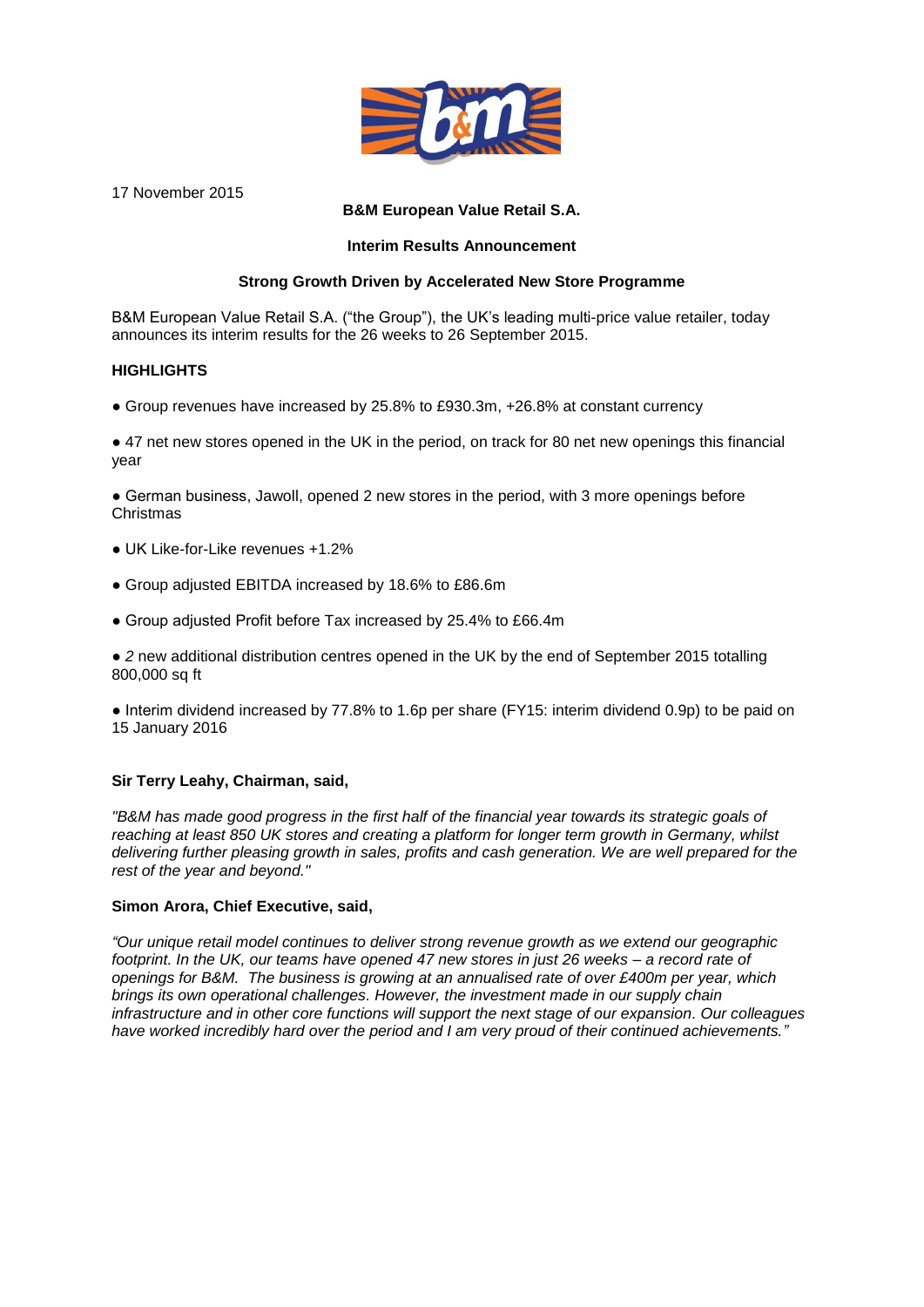

17 November 2015

#### **B&M European Value Retail S.A.**

#### **Interim Results Announcement**

#### **Strong Growth Driven by Accelerated New Store Programme**

B&M European Value Retail S.A. ("the Group"), the UK's leading multi-price value retailer, today announces its interim results for the 26 weeks to 26 September 2015.

#### **HIGHLIGHTS**

*●* Group revenues have increased by 25.8% to £930.3m, +26.8% at constant currency

● 47 net new stores opened in the UK in the period, on track for 80 net new openings this financial year

● German business, Jawoll, opened 2 new stores in the period, with 3 more openings before Christmas

- UK Like-for-Like revenues +1.2%
- Group adjusted EBITDA increased by 18.6% to £86.6m
- Group adjusted Profit before Tax increased by 25.4% to £66.4m

● *2* new additional distribution centres opened in the UK by the end of September 2015 totalling 800,000 sq ft

● Interim dividend increased by 77.8% to 1.6p per share (FY15: interim dividend 0.9p) to be paid on 15 January 2016

#### **Sir Terry Leahy, Chairman, said,**

*"B&M has made good progress in the first half of the financial year towards its strategic goals of reaching at least 850 UK stores and creating a platform for longer term growth in Germany, whilst delivering further pleasing growth in sales, profits and cash generation. We are well prepared for the rest of the year and beyond."*

#### **Simon Arora, Chief Executive, said,**

*"Our unique retail model continues to deliver strong revenue growth as we extend our geographic footprint. In the UK, our teams have opened 47 new stores in just 26 weeks – a record rate of openings for B&M. The business is growing at an annualised rate of over £400m per year, which brings its own operational challenges. However, the investment made in our supply chain infrastructure and in other core functions will support the next stage of our expansion. Our colleagues have worked incredibly hard over the period and I am very proud of their continued achievements."*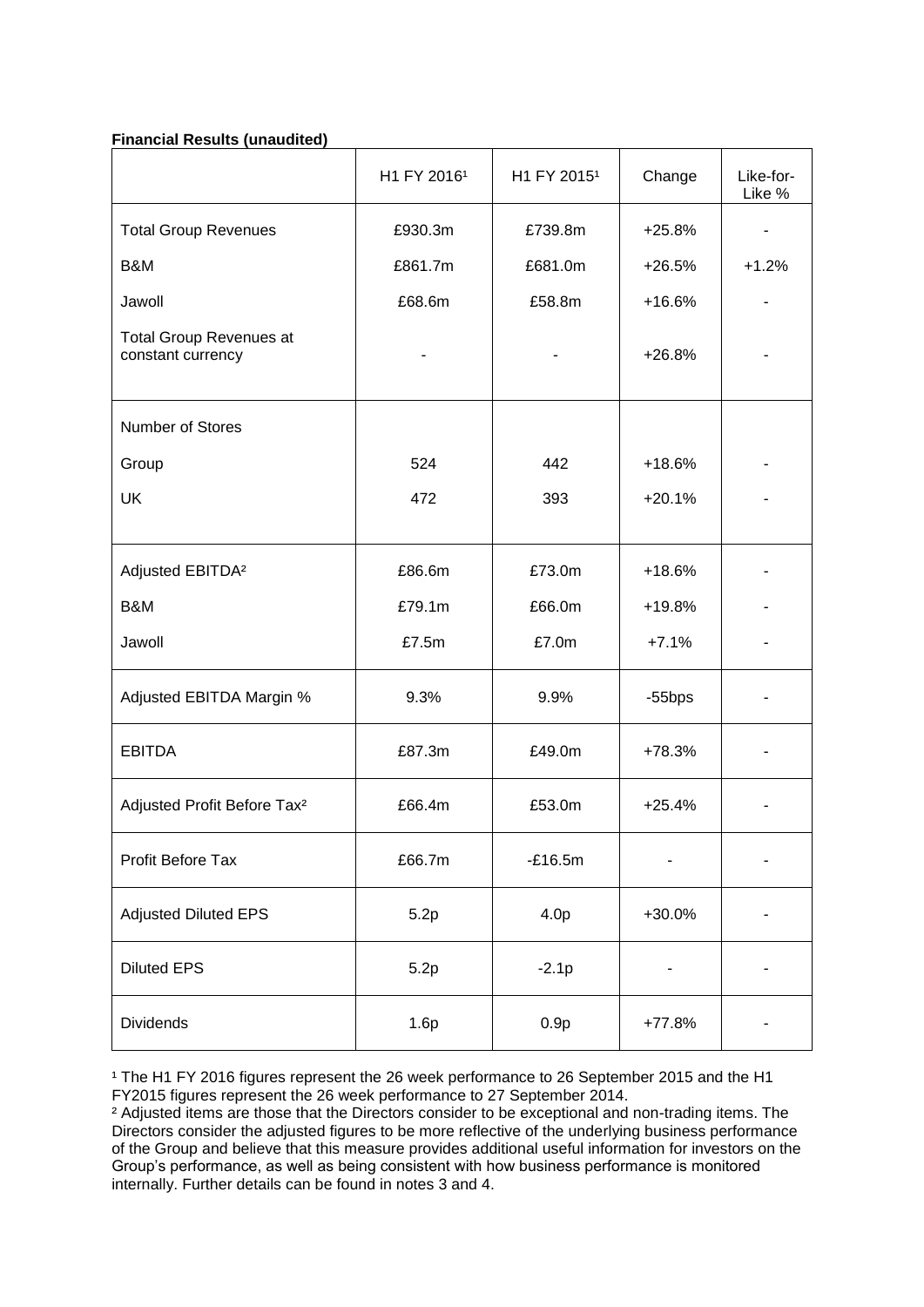#### **Financial Results (unaudited)**

|                                                     | H1 FY 2016 <sup>1</sup> | H1 FY 2015 <sup>1</sup> | Change    | Like-for-<br>Like % |
|-----------------------------------------------------|-------------------------|-------------------------|-----------|---------------------|
| <b>Total Group Revenues</b>                         | £930.3m                 | £739.8m                 | $+25.8%$  |                     |
| B&M                                                 | £861.7m                 | £681.0m                 | $+26.5%$  | $+1.2%$             |
| Jawoll                                              | £68.6m                  | £58.8m                  | $+16.6%$  |                     |
| <b>Total Group Revenues at</b><br>constant currency |                         |                         | $+26.8%$  |                     |
| Number of Stores                                    |                         |                         |           |                     |
| Group                                               | 524                     | 442                     | $+18.6%$  |                     |
| <b>UK</b>                                           | 472                     | 393                     | $+20.1%$  |                     |
|                                                     |                         |                         |           |                     |
| Adjusted EBITDA <sup>2</sup>                        | £86.6m                  | £73.0m                  | $+18.6%$  |                     |
| B&M                                                 | £79.1m                  | £66.0m                  | +19.8%    |                     |
| Jawoll                                              | £7.5m                   | £7.0m                   | $+7.1%$   |                     |
| Adjusted EBITDA Margin %                            | 9.3%                    | 9.9%                    | $-55$ bps |                     |
| <b>EBITDA</b>                                       | £87.3m                  | £49.0m                  | +78.3%    |                     |
| Adjusted Profit Before Tax <sup>2</sup>             | £66.4m                  | £53.0m                  | $+25.4%$  |                     |
| Profit Before Tax                                   | £66.7m                  | $-E16.5m$               |           |                     |
| <b>Adjusted Diluted EPS</b>                         | 5.2p                    | 4.0p                    | +30.0%    |                     |
| <b>Diluted EPS</b>                                  | 5.2p                    | $-2.1p$                 |           |                     |
| Dividends                                           | 1.6p                    | 0.9p                    | $+77.8%$  |                     |

<sup>1</sup> The H1 FY 2016 figures represent the 26 week performance to 26 September 2015 and the H1 FY2015 figures represent the 26 week performance to 27 September 2014.

² Adjusted items are those that the Directors consider to be exceptional and non-trading items. The Directors consider the adjusted figures to be more reflective of the underlying business performance of the Group and believe that this measure provides additional useful information for investors on the Group's performance, as well as being consistent with how business performance is monitored internally. Further details can be found in notes 3 and 4.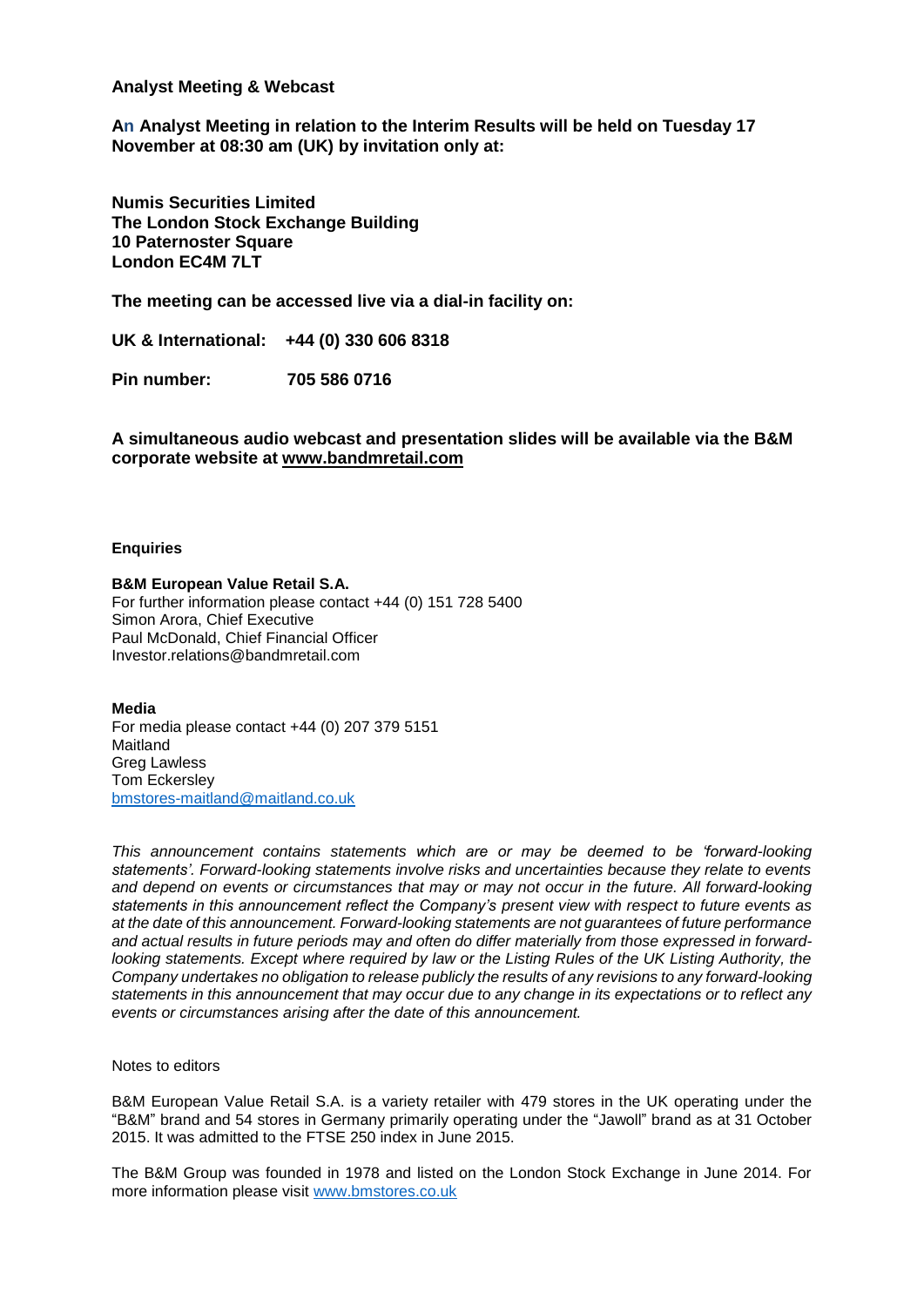#### **Analyst Meeting & Webcast**

**An Analyst Meeting in relation to the Interim Results will be held on Tuesday 17 November at 08:30 am (UK) by invitation only at:**

**Numis Securities Limited The London Stock Exchange Building 10 Paternoster Square London EC4M 7LT**

**The meeting can be accessed live via a dial-in facility on:**

**UK & International: +44 (0) 330 606 8318** 

**Pin number: 705 586 0716** 

**A simultaneous audio webcast and presentation slides will be available via the B&M corporate website at [www.bandmretail.com](http://www.bandmretail.com/)**

#### **Enquiries**

**B&M European Value Retail S.A.**

For further information please contact +44 (0) 151 728 5400 Simon Arora, Chief Executive Paul McDonald, Chief Financial Officer Investor.relations@bandmretail.com

**Media**

For media please contact +44 (0) 207 379 5151 Maitland Greg Lawless Tom Eckersley [bmstores-maitland@maitland.co.uk](mailto:bmstores-maitland@maitland.co.uk)

*This announcement contains statements which are or may be deemed to be 'forward-looking statements'. Forward-looking statements involve risks and uncertainties because they relate to events and depend on events or circumstances that may or may not occur in the future. All forward-looking statements in this announcement reflect the Company's present view with respect to future events as at the date of this announcement. Forward-looking statements are not guarantees of future performance and actual results in future periods may and often do differ materially from those expressed in forwardlooking statements. Except where required by law or the Listing Rules of the UK Listing Authority, the Company undertakes no obligation to release publicly the results of any revisions to any forward-looking statements in this announcement that may occur due to any change in its expectations or to reflect any events or circumstances arising after the date of this announcement.* 

#### Notes to editors

B&M European Value Retail S.A. is a variety retailer with 479 stores in the UK operating under the "B&M" brand and 54 stores in Germany primarily operating under the "Jawoll" brand as at 31 October 2015. It was admitted to the FTSE 250 index in June 2015.

The B&M Group was founded in 1978 and listed on the London Stock Exchange in June 2014. For more information please visit [www.bmstores.co.uk](http://www.bmstores.co.uk/)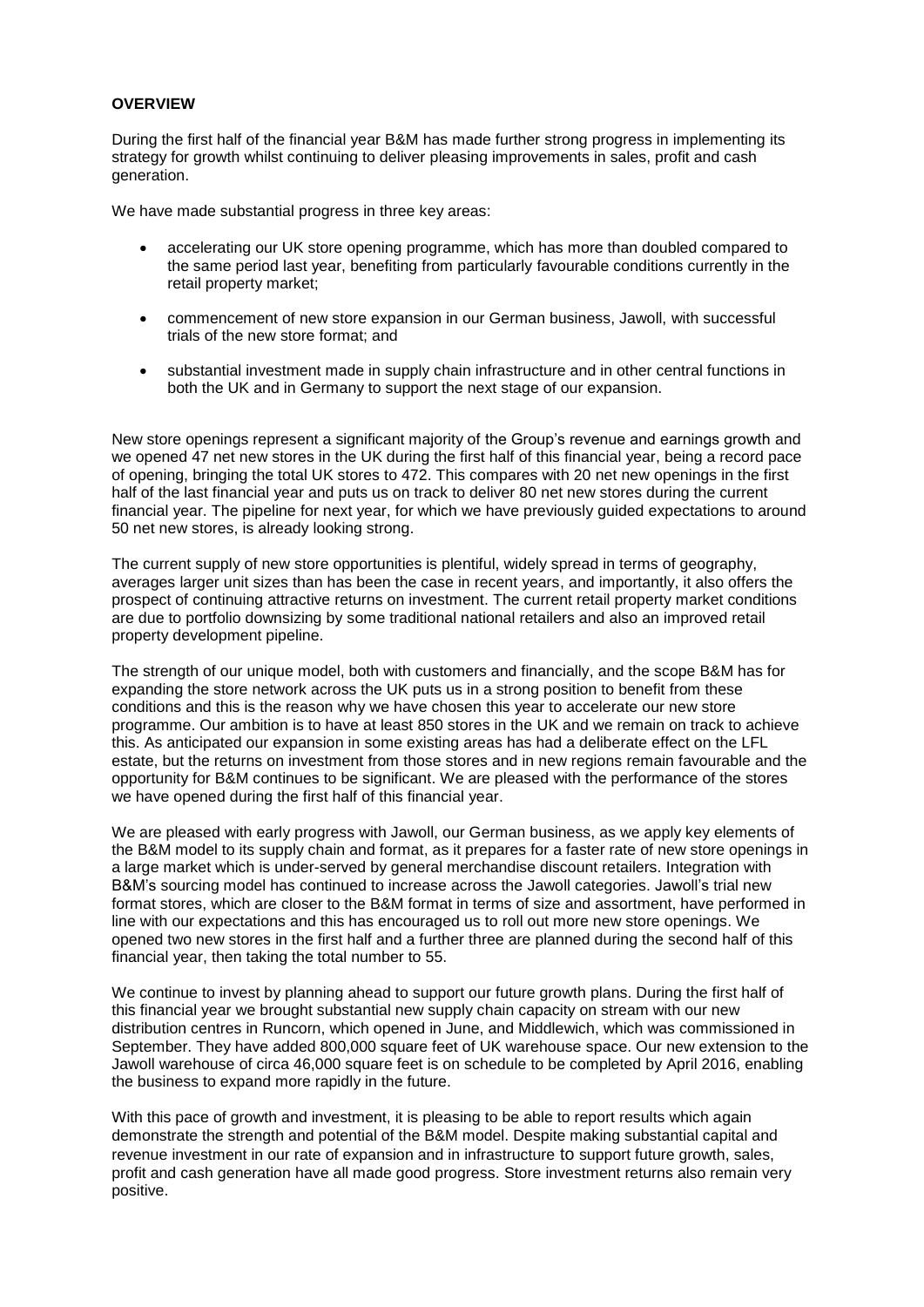#### **OVERVIEW**

During the first half of the financial year B&M has made further strong progress in implementing its strategy for growth whilst continuing to deliver pleasing improvements in sales, profit and cash generation.

We have made substantial progress in three key areas:

- accelerating our UK store opening programme, which has more than doubled compared to the same period last year, benefiting from particularly favourable conditions currently in the retail property market;
- commencement of new store expansion in our German business, Jawoll, with successful trials of the new store format; and
- substantial investment made in supply chain infrastructure and in other central functions in both the UK and in Germany to support the next stage of our expansion.

New store openings represent a significant majority of the Group's revenue and earnings growth and we opened 47 net new stores in the UK during the first half of this financial year, being a record pace of opening, bringing the total UK stores to 472. This compares with 20 net new openings in the first half of the last financial year and puts us on track to deliver 80 net new stores during the current financial year. The pipeline for next year, for which we have previously guided expectations to around 50 net new stores, is already looking strong.

The current supply of new store opportunities is plentiful, widely spread in terms of geography, averages larger unit sizes than has been the case in recent years, and importantly, it also offers the prospect of continuing attractive returns on investment. The current retail property market conditions are due to portfolio downsizing by some traditional national retailers and also an improved retail property development pipeline.

The strength of our unique model, both with customers and financially, and the scope B&M has for expanding the store network across the UK puts us in a strong position to benefit from these conditions and this is the reason why we have chosen this year to accelerate our new store programme. Our ambition is to have at least 850 stores in the UK and we remain on track to achieve this. As anticipated our expansion in some existing areas has had a deliberate effect on the LFL estate, but the returns on investment from those stores and in new regions remain favourable and the opportunity for B&M continues to be significant. We are pleased with the performance of the stores we have opened during the first half of this financial year.

We are pleased with early progress with Jawoll, our German business, as we apply key elements of the B&M model to its supply chain and format, as it prepares for a faster rate of new store openings in a large market which is under-served by general merchandise discount retailers. Integration with B&M's sourcing model has continued to increase across the Jawoll categories. Jawoll's trial new format stores, which are closer to the B&M format in terms of size and assortment, have performed in line with our expectations and this has encouraged us to roll out more new store openings. We opened two new stores in the first half and a further three are planned during the second half of this financial year, then taking the total number to 55.

We continue to invest by planning ahead to support our future growth plans. During the first half of this financial year we brought substantial new supply chain capacity on stream with our new distribution centres in Runcorn, which opened in June, and Middlewich, which was commissioned in September. They have added 800,000 square feet of UK warehouse space. Our new extension to the Jawoll warehouse of circa 46,000 square feet is on schedule to be completed by April 2016, enabling the business to expand more rapidly in the future.

With this pace of growth and investment, it is pleasing to be able to report results which again demonstrate the strength and potential of the B&M model. Despite making substantial capital and revenue investment in our rate of expansion and in infrastructure to support future growth, sales, profit and cash generation have all made good progress. Store investment returns also remain very positive.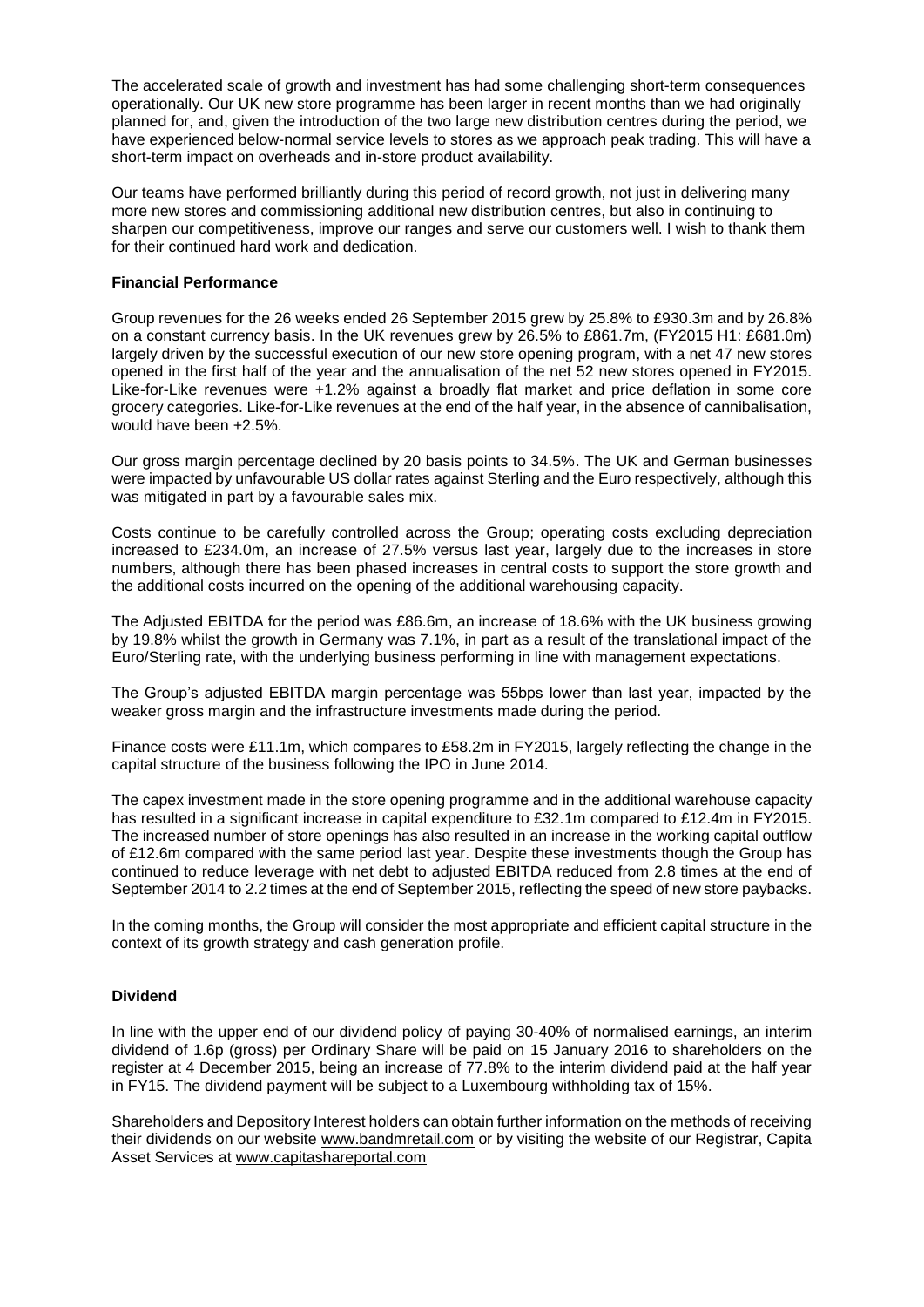The accelerated scale of growth and investment has had some challenging short-term consequences operationally. Our UK new store programme has been larger in recent months than we had originally planned for, and, given the introduction of the two large new distribution centres during the period, we have experienced below-normal service levels to stores as we approach peak trading. This will have a short-term impact on overheads and in-store product availability.

Our teams have performed brilliantly during this period of record growth, not just in delivering many more new stores and commissioning additional new distribution centres, but also in continuing to sharpen our competitiveness, improve our ranges and serve our customers well. I wish to thank them for their continued hard work and dedication.

#### **Financial Performance**

Group revenues for the 26 weeks ended 26 September 2015 grew by 25.8% to £930.3m and by 26.8% on a constant currency basis. In the UK revenues grew by 26.5% to £861.7m, (FY2015 H1: £681.0m) largely driven by the successful execution of our new store opening program, with a net 47 new stores opened in the first half of the year and the annualisation of the net 52 new stores opened in FY2015. Like-for-Like revenues were +1.2% against a broadly flat market and price deflation in some core grocery categories. Like-for-Like revenues at the end of the half year, in the absence of cannibalisation, would have been +2.5%.

Our gross margin percentage declined by 20 basis points to 34.5%. The UK and German businesses were impacted by unfavourable US dollar rates against Sterling and the Euro respectively, although this was mitigated in part by a favourable sales mix.

Costs continue to be carefully controlled across the Group; operating costs excluding depreciation increased to £234.0m, an increase of 27.5% versus last year, largely due to the increases in store numbers, although there has been phased increases in central costs to support the store growth and the additional costs incurred on the opening of the additional warehousing capacity.

The Adjusted EBITDA for the period was £86.6m, an increase of 18.6% with the UK business growing by 19.8% whilst the growth in Germany was 7.1%, in part as a result of the translational impact of the Euro/Sterling rate, with the underlying business performing in line with management expectations.

The Group's adjusted EBITDA margin percentage was 55bps lower than last year, impacted by the weaker gross margin and the infrastructure investments made during the period.

Finance costs were £11.1m, which compares to £58.2m in FY2015, largely reflecting the change in the capital structure of the business following the IPO in June 2014.

The capex investment made in the store opening programme and in the additional warehouse capacity has resulted in a significant increase in capital expenditure to £32.1m compared to £12.4m in FY2015. The increased number of store openings has also resulted in an increase in the working capital outflow of £12.6m compared with the same period last year. Despite these investments though the Group has continued to reduce leverage with net debt to adjusted EBITDA reduced from 2.8 times at the end of September 2014 to 2.2 times at the end of September 2015, reflecting the speed of new store paybacks.

In the coming months, the Group will consider the most appropriate and efficient capital structure in the context of its growth strategy and cash generation profile.

#### **Dividend**

In line with the upper end of our dividend policy of paying 30-40% of normalised earnings, an interim dividend of 1.6p (gross) per Ordinary Share will be paid on 15 January 2016 to shareholders on the register at 4 December 2015, being an increase of 77.8% to the interim dividend paid at the half year in FY15. The dividend payment will be subject to a Luxembourg withholding tax of 15%.

Shareholders and Depository Interest holders can obtain further information on the methods of receiving their dividends on our website [www.bandmretail.com](http://www.bandmretail.com/) or by visiting the website of our Registrar, Capita Asset Services at [www.capitashareportal.com](http://www.capitashareportal.com/)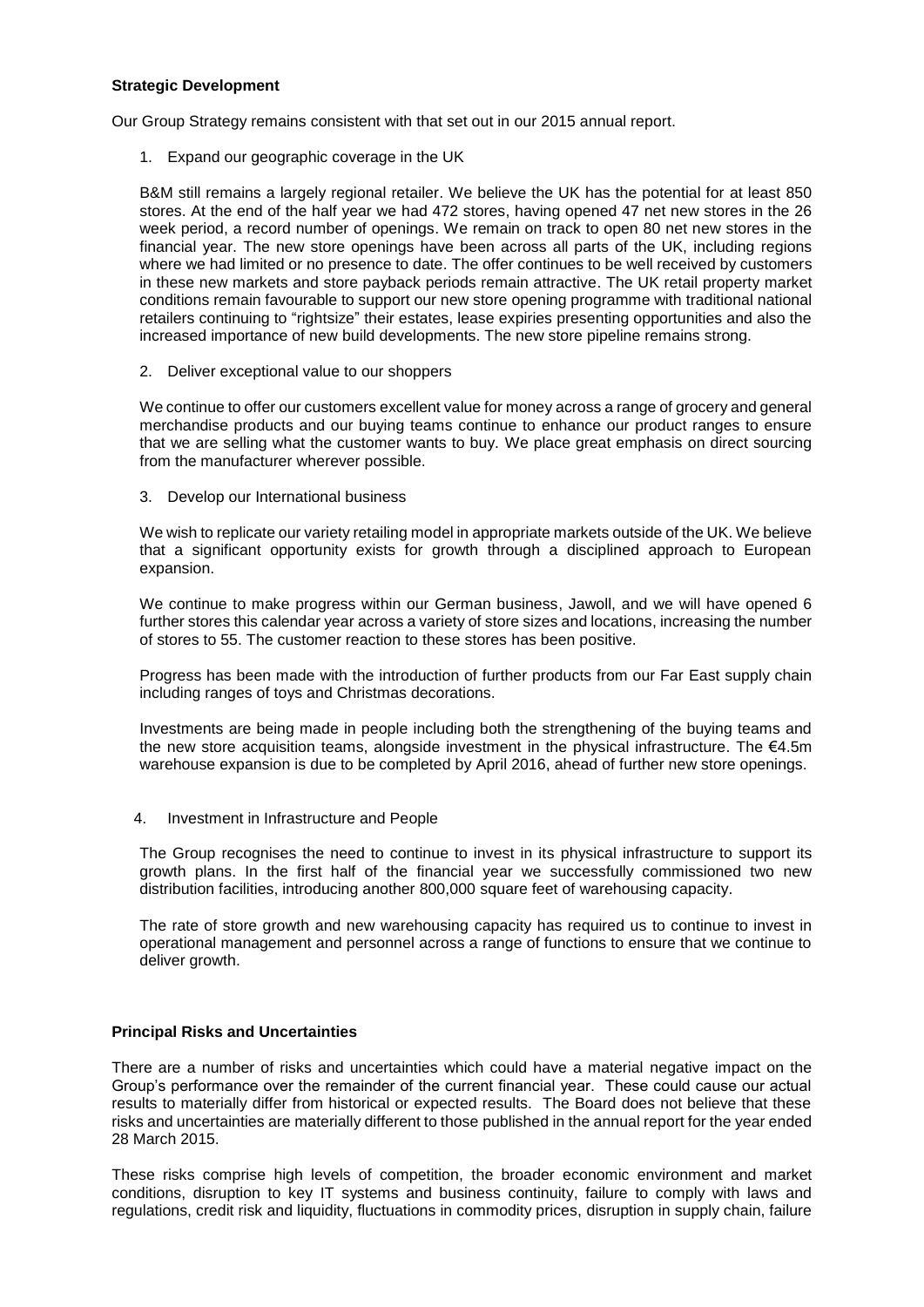#### **Strategic Development**

Our Group Strategy remains consistent with that set out in our 2015 annual report.

1. Expand our geographic coverage in the UK

B&M still remains a largely regional retailer. We believe the UK has the potential for at least 850 stores. At the end of the half year we had 472 stores, having opened 47 net new stores in the 26 week period, a record number of openings. We remain on track to open 80 net new stores in the financial year. The new store openings have been across all parts of the UK, including regions where we had limited or no presence to date. The offer continues to be well received by customers in these new markets and store payback periods remain attractive. The UK retail property market conditions remain favourable to support our new store opening programme with traditional national retailers continuing to "rightsize" their estates, lease expiries presenting opportunities and also the increased importance of new build developments. The new store pipeline remains strong.

2. Deliver exceptional value to our shoppers

We continue to offer our customers excellent value for money across a range of grocery and general merchandise products and our buying teams continue to enhance our product ranges to ensure that we are selling what the customer wants to buy. We place great emphasis on direct sourcing from the manufacturer wherever possible.

3. Develop our International business

We wish to replicate our variety retailing model in appropriate markets outside of the UK. We believe that a significant opportunity exists for growth through a disciplined approach to European expansion.

We continue to make progress within our German business, Jawoll, and we will have opened 6 further stores this calendar year across a variety of store sizes and locations, increasing the number of stores to 55. The customer reaction to these stores has been positive.

Progress has been made with the introduction of further products from our Far East supply chain including ranges of toys and Christmas decorations.

Investments are being made in people including both the strengthening of the buying teams and the new store acquisition teams, alongside investment in the physical infrastructure. The €4.5m warehouse expansion is due to be completed by April 2016, ahead of further new store openings.

4. Investment in Infrastructure and People

The Group recognises the need to continue to invest in its physical infrastructure to support its growth plans. In the first half of the financial year we successfully commissioned two new distribution facilities, introducing another 800,000 square feet of warehousing capacity.

The rate of store growth and new warehousing capacity has required us to continue to invest in operational management and personnel across a range of functions to ensure that we continue to deliver growth.

#### **Principal Risks and Uncertainties**

There are a number of risks and uncertainties which could have a material negative impact on the Group's performance over the remainder of the current financial year. These could cause our actual results to materially differ from historical or expected results. The Board does not believe that these risks and uncertainties are materially different to those published in the annual report for the year ended 28 March 2015.

These risks comprise high levels of competition, the broader economic environment and market conditions, disruption to key IT systems and business continuity, failure to comply with laws and regulations, credit risk and liquidity, fluctuations in commodity prices, disruption in supply chain, failure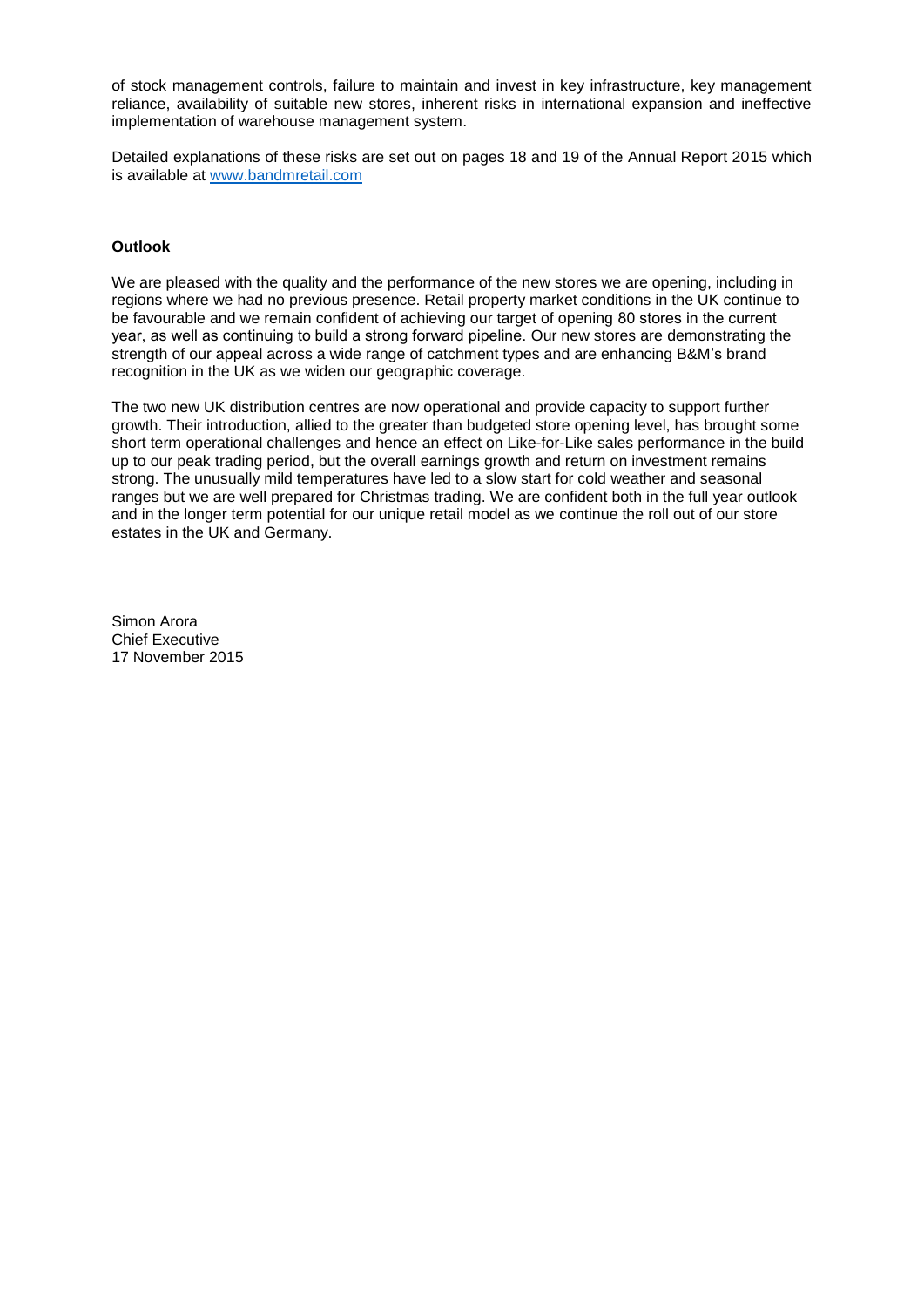of stock management controls, failure to maintain and invest in key infrastructure, key management reliance, availability of suitable new stores, inherent risks in international expansion and ineffective implementation of warehouse management system.

Detailed explanations of these risks are set out on pages 18 and 19 of the Annual Report 2015 which is available at [www.bandmretail.com](http://www.bandmretail.com/)

#### **Outlook**

We are pleased with the quality and the performance of the new stores we are opening, including in regions where we had no previous presence. Retail property market conditions in the UK continue to be favourable and we remain confident of achieving our target of opening 80 stores in the current year, as well as continuing to build a strong forward pipeline. Our new stores are demonstrating the strength of our appeal across a wide range of catchment types and are enhancing B&M's brand recognition in the UK as we widen our geographic coverage.

The two new UK distribution centres are now operational and provide capacity to support further growth. Their introduction, allied to the greater than budgeted store opening level, has brought some short term operational challenges and hence an effect on Like-for-Like sales performance in the build up to our peak trading period, but the overall earnings growth and return on investment remains strong. The unusually mild temperatures have led to a slow start for cold weather and seasonal ranges but we are well prepared for Christmas trading. We are confident both in the full year outlook and in the longer term potential for our unique retail model as we continue the roll out of our store estates in the UK and Germany.

Simon Arora Chief Executive 17 November 2015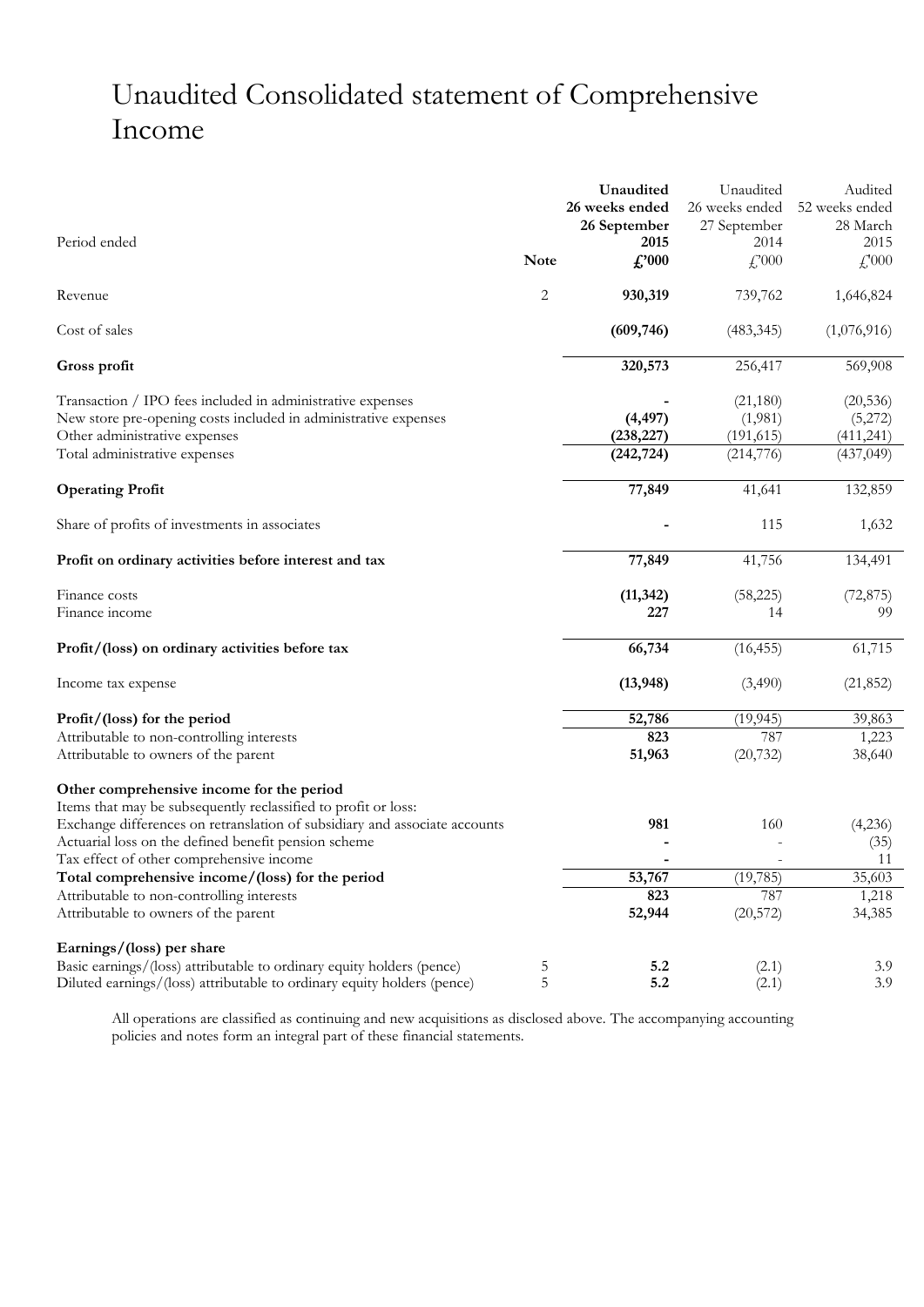# Unaudited Consolidated statement of Comprehensive Income

|                                                                                   |             | Unaudited      | Unaudited        | Audited         |
|-----------------------------------------------------------------------------------|-------------|----------------|------------------|-----------------|
|                                                                                   |             | 26 weeks ended | 26 weeks ended   | 52 weeks ended  |
|                                                                                   |             | 26 September   | 27 September     | 28 March        |
| Period ended                                                                      |             | 2015           | 2014             | 2015            |
|                                                                                   | <b>Note</b> | f.'000         | $f$ , 000        | $f'_{000}$      |
| Revenue                                                                           | 2           | 930,319        | 739,762          | 1,646,824       |
| Cost of sales                                                                     |             | (609, 746)     | (483, 345)       | (1,076,916)     |
| Gross profit                                                                      |             | 320,573        | 256,417          | 569,908         |
| Transaction / IPO fees included in administrative expenses                        |             |                | (21,180)         | (20, 536)       |
| New store pre-opening costs included in administrative expenses                   |             | (4, 497)       | (1,981)          | (5,272)         |
| Other administrative expenses                                                     |             | (238, 227)     | (191, 615)       | (411,241)       |
| Total administrative expenses                                                     |             | (242, 724)     | (214, 776)       | (437, 049)      |
| <b>Operating Profit</b>                                                           |             | 77,849         | 41,641           | 132,859         |
| Share of profits of investments in associates                                     |             |                | 115              | 1,632           |
| Profit on ordinary activities before interest and tax                             |             | 77,849         | 41,756           | 134,491         |
| Finance costs                                                                     |             | (11, 342)      | (58, 225)        | (72, 875)       |
| Finance income                                                                    |             | 227            | 14               | 99              |
| Profit/(loss) on ordinary activities before tax                                   |             | 66,734         | (16, 455)        | 61,715          |
| Income tax expense                                                                |             | (13, 948)      | (3,490)          | (21, 852)       |
| Profit/(loss) for the period                                                      |             | 52,786         | (19, 945)        | 39,863          |
| Attributable to non-controlling interests                                         |             | 823            | 787              | 1,223           |
| Attributable to owners of the parent                                              |             | 51,963         | (20, 732)        | 38,640          |
| Other comprehensive income for the period                                         |             |                |                  |                 |
| Items that may be subsequently reclassified to profit or loss:                    |             |                |                  |                 |
| Exchange differences on retranslation of subsidiary and associate accounts        |             | 981            | 160              | (4,236)         |
| Actuarial loss on the defined benefit pension scheme                              |             |                |                  | (35)            |
| Tax effect of other comprehensive income                                          |             |                |                  | 11              |
| Total comprehensive income/(loss) for the period                                  |             | 53,767         | (19, 785)        | 35,603          |
| Attributable to non-controlling interests<br>Attributable to owners of the parent |             | 823<br>52,944  | 787<br>(20, 572) | 1,218<br>34,385 |
| Earnings/(loss) per share                                                         |             |                |                  |                 |
| Basic earnings/(loss) attributable to ordinary equity holders (pence)             | 5           | 5.2            | (2.1)            | 3.9             |
| Diluted earnings/(loss) attributable to ordinary equity holders (pence)           | 5           | 5.2            | (2.1)            | 3.9             |

All operations are classified as continuing and new acquisitions as disclosed above. The accompanying accounting policies and notes form an integral part of these financial statements.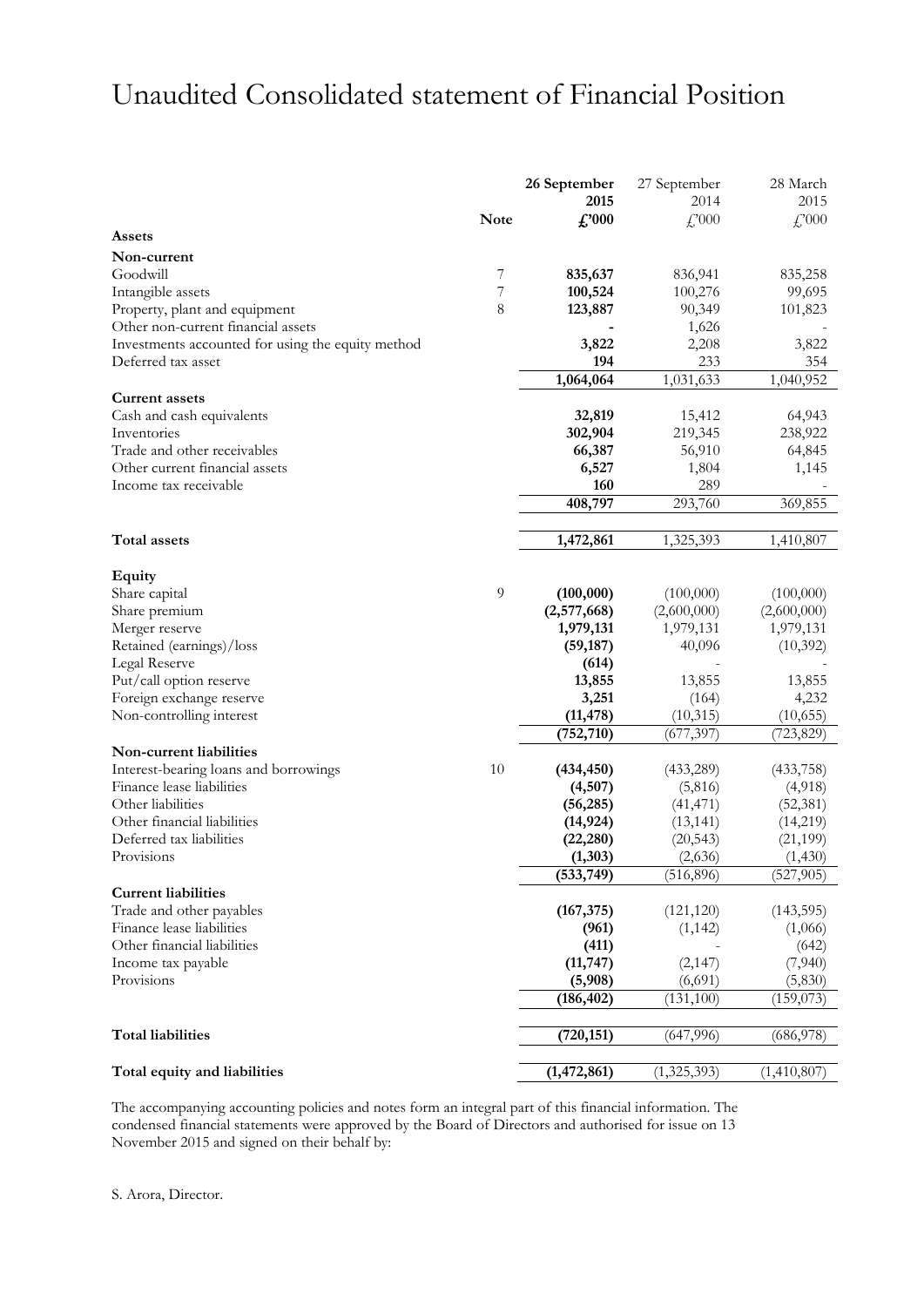## Unaudited Consolidated statement of Financial Position

|                                                   |             | 26 September   | 27 September | 28 March    |
|---------------------------------------------------|-------------|----------------|--------------|-------------|
|                                                   |             | 2015           | 2014         | 2015        |
|                                                   | <b>Note</b> | $\pounds$ '000 | f''(000)     | £,000       |
| <b>Assets</b>                                     |             |                |              |             |
| Non-current                                       |             |                |              |             |
| Goodwill                                          | 7           | 835,637        | 836,941      | 835,258     |
| Intangible assets                                 | 7           | 100,524        | 100,276      | 99,695      |
| Property, plant and equipment                     | 8           | 123,887        | 90,349       | 101,823     |
| Other non-current financial assets                |             |                | 1,626        |             |
| Investments accounted for using the equity method |             | 3,822          | 2,208        | 3,822       |
| Deferred tax asset                                |             | 194            | 233          | 354         |
|                                                   |             | 1,064,064      | 1,031,633    | 1,040,952   |
| <b>Current assets</b>                             |             |                |              |             |
| Cash and cash equivalents                         |             | 32,819         | 15,412       | 64,943      |
| Inventories                                       |             | 302,904        | 219,345      | 238,922     |
| Trade and other receivables                       |             | 66,387         | 56,910       | 64,845      |
| Other current financial assets                    |             | 6,527          | 1,804        | 1,145       |
| Income tax receivable                             |             | 160            | 289          |             |
|                                                   |             | 408,797        | 293,760      | 369,855     |
|                                                   |             |                |              |             |
| Total assets                                      |             | 1,472,861      | 1,325,393    | 1,410,807   |
|                                                   |             |                |              |             |
| <b>Equity</b>                                     |             |                |              |             |
| Share capital                                     | 9           | (100,000)      | (100,000)    | (100,000)   |
| Share premium                                     |             | (2,577,668)    | (2,600,000)  | (2,600,000) |
| Merger reserve                                    |             | 1,979,131      | 1,979,131    | 1,979,131   |
| Retained (earnings)/loss                          |             | (59, 187)      | 40,096       | (10,392)    |
| Legal Reserve                                     |             | (614)          |              |             |
| Put/call option reserve                           |             | 13,855         | 13,855       | 13,855      |
| Foreign exchange reserve                          |             | 3,251          | (164)        | 4,232       |
| Non-controlling interest                          |             | (11, 478)      | (10,315)     | (10, 655)   |
|                                                   |             | (752, 710)     | (677, 397)   | (723,829)   |
| Non-current liabilities                           |             |                |              |             |
| Interest-bearing loans and borrowings             | 10          | (434, 450)     | (433,289)    | (433,758)   |
| Finance lease liabilities                         |             | (4,507)        | (5,816)      | (4,918)     |
| Other liabilities                                 |             | (56, 285)      | (41, 471)    | (52, 381)   |
| Other financial liabilities                       |             | (14, 924)      | (13, 141)    | (14,219)    |
| Deferred tax liabilities                          |             | (22, 280)      | (20, 543)    | (21, 199)   |
| Provisions                                        |             | (1, 303)       | (2,636)      | (1, 430)    |
|                                                   |             | (533,749)      | (516, 896)   | (527, 905)  |
| <b>Current liabilities</b>                        |             |                |              |             |
| Trade and other payables                          |             | (167, 375)     | (121, 120)   | (143, 595)  |
| Finance lease liabilities                         |             | (961)          | (1, 142)     | (1,066)     |
| Other financial liabilities                       |             | (411)          |              | (642)       |
| Income tax payable                                |             | (11, 747)      | (2,147)      | (7,940)     |
| Provisions                                        |             | (5,908)        | (6,691)      | (5,830)     |
|                                                   |             | (186, 402)     | (131, 100)   | (159,073)   |
|                                                   |             |                |              |             |
| <b>Total liabilities</b>                          |             | (720, 151)     | (647, 996)   | (686, 978)  |
|                                                   |             |                |              |             |
| Total equity and liabilities                      |             | (1, 472, 861)  | (1,325,393)  | (1,410,807) |
|                                                   |             |                |              |             |

The accompanying accounting policies and notes form an integral part of this financial information. The condensed financial statements were approved by the Board of Directors and authorised for issue on 13 November 2015 and signed on their behalf by: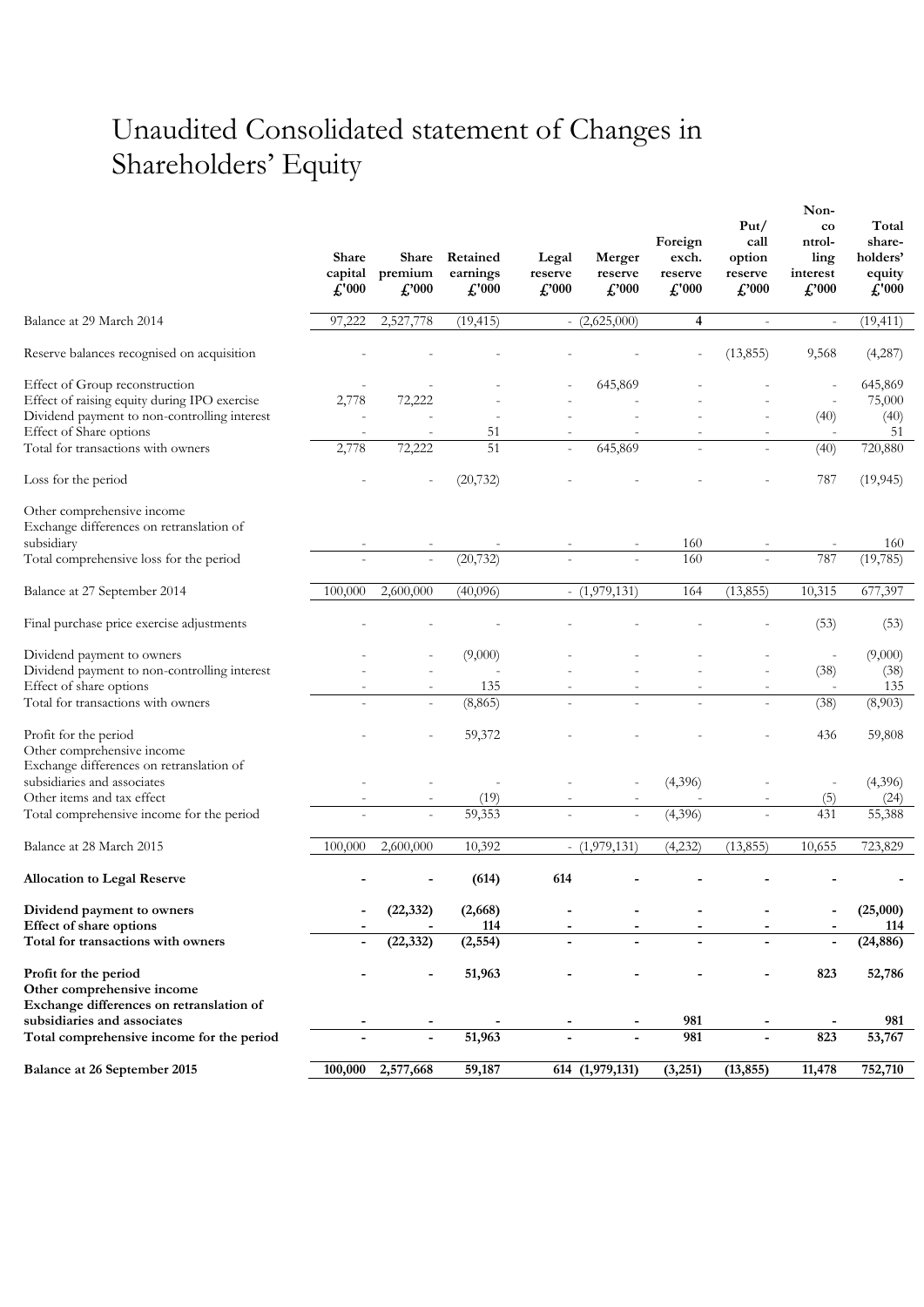# Unaudited Consolidated statement of Changes in Shareholders' Equity

|                                                                                                                                | <b>Share</b><br>capital<br>£'000 | Share<br>premium<br>$\pounds$ '000 | Retained<br>earnings<br>$\pounds$ '000 | Legal<br>reserve<br>$\pounds$ '000 | Merger<br>reserve<br>$\pounds$ '000 | Foreign<br>exch.<br>reserve<br>£'000 | Put/<br>call<br>option<br>reserve<br>$\pounds$ '000 | Non-<br>$_{\rm co}$<br>ntrol-<br>ling<br>interest<br>£'000 | Total<br>share-<br>holders'<br>equity<br>£'000 |
|--------------------------------------------------------------------------------------------------------------------------------|----------------------------------|------------------------------------|----------------------------------------|------------------------------------|-------------------------------------|--------------------------------------|-----------------------------------------------------|------------------------------------------------------------|------------------------------------------------|
| Balance at 29 March 2014                                                                                                       | 97,222                           | 2,527,778                          | (19, 415)                              |                                    | $-(2,625,000)$                      | 4                                    | $\overline{\phantom{a}}$                            | $\overline{\phantom{a}}$                                   | (19, 411)                                      |
| Reserve balances recognised on acquisition                                                                                     |                                  |                                    |                                        |                                    |                                     |                                      | (13,855)                                            | 9,568                                                      | (4,287)                                        |
| Effect of Group reconstruction<br>Effect of raising equity during IPO exercise<br>Dividend payment to non-controlling interest | 2,778                            | 72,222                             |                                        |                                    | 645,869                             |                                      |                                                     | (40)                                                       | 645,869<br>75,000<br>(40)                      |
| Effect of Share options<br>Total for transactions with owners                                                                  | 2,778                            | 72,222                             | 51<br>51                               | $\frac{1}{2}$                      | 645,869                             |                                      |                                                     | (40)                                                       | 51<br>720,880                                  |
| Loss for the period                                                                                                            |                                  |                                    | (20, 732)                              |                                    |                                     |                                      |                                                     | 787                                                        | (19, 945)                                      |
| Other comprehensive income<br>Exchange differences on retranslation of                                                         |                                  |                                    |                                        |                                    |                                     |                                      |                                                     |                                                            |                                                |
| subsidiary<br>Total comprehensive loss for the period                                                                          |                                  | $\overline{a}$                     | (20, 732)                              |                                    |                                     | 160<br>160                           |                                                     | 787                                                        | 160<br>(19, 785)                               |
| Balance at 27 September 2014                                                                                                   | 100,000                          | 2,600,000                          | (40,096)                               |                                    | $-$ (1,979,131)                     | 164                                  | (13, 855)                                           | 10,315                                                     | 677,397                                        |
|                                                                                                                                |                                  |                                    |                                        |                                    |                                     |                                      |                                                     |                                                            |                                                |
| Final purchase price exercise adjustments                                                                                      |                                  |                                    |                                        |                                    |                                     |                                      |                                                     | (53)                                                       | (53)                                           |
| Dividend payment to owners<br>Dividend payment to non-controlling interest<br>Effect of share options                          |                                  |                                    | (9,000)<br>135                         |                                    |                                     |                                      |                                                     | $\overline{a}$<br>(38)                                     | (9,000)<br>(38)<br>135                         |
| Total for transactions with owners                                                                                             |                                  |                                    | (8, 865)                               |                                    |                                     |                                      |                                                     | (38)                                                       | (8,903)                                        |
| Profit for the period<br>Other comprehensive income<br>Exchange differences on retranslation of                                |                                  |                                    | 59,372                                 |                                    |                                     |                                      |                                                     | 436                                                        | 59,808                                         |
| subsidiaries and associates                                                                                                    |                                  |                                    |                                        |                                    |                                     | (4,396)                              |                                                     | $\overline{\phantom{a}}$                                   | (4,396)                                        |
| Other items and tax effect<br>Total comprehensive income for the period                                                        |                                  | $\overline{a}$                     | (19)<br>59,353                         |                                    |                                     | (4,396)                              |                                                     | (5)<br>431                                                 | (24)<br>55,388                                 |
|                                                                                                                                |                                  |                                    |                                        |                                    |                                     |                                      |                                                     |                                                            |                                                |
| Balance at 28 March 2015                                                                                                       | 100,000                          | 2,600,000                          | 10,392                                 |                                    | $ (1,979,131)$                      | (4,232)                              | (13, 855)                                           | 10,655                                                     | 723,829                                        |
| <b>Allocation to Legal Reserve</b>                                                                                             |                                  |                                    | (614)                                  | 614                                |                                     |                                      |                                                     |                                                            |                                                |
| Dividend payment to owners<br>Effect of share options                                                                          |                                  | (22, 332)                          | (2,668)<br>114                         |                                    |                                     |                                      |                                                     |                                                            | (25,000)<br>114                                |
| Total for transactions with owners                                                                                             | $\blacksquare$                   | (22, 332)                          | (2, 554)                               | L,                                 | $\blacksquare$                      |                                      | $\blacksquare$                                      | $\blacksquare$                                             | (24, 886)                                      |
| Profit for the period<br>Other comprehensive income<br>Exchange differences on retranslation of                                |                                  |                                    | 51,963                                 |                                    |                                     |                                      |                                                     | 823                                                        | 52,786                                         |
| subsidiaries and associates                                                                                                    |                                  |                                    |                                        |                                    |                                     | 981                                  |                                                     |                                                            | 981                                            |
| Total comprehensive income for the period                                                                                      |                                  | $\blacksquare$                     | 51,963                                 |                                    |                                     | 981                                  |                                                     | 823                                                        | 53,767                                         |
| <b>Balance at 26 September 2015</b>                                                                                            | 100,000                          | 2,577,668                          | 59,187                                 |                                    | 614 (1,979,131)                     | (3,251)                              | (13, 855)                                           | 11,478                                                     | 752,710                                        |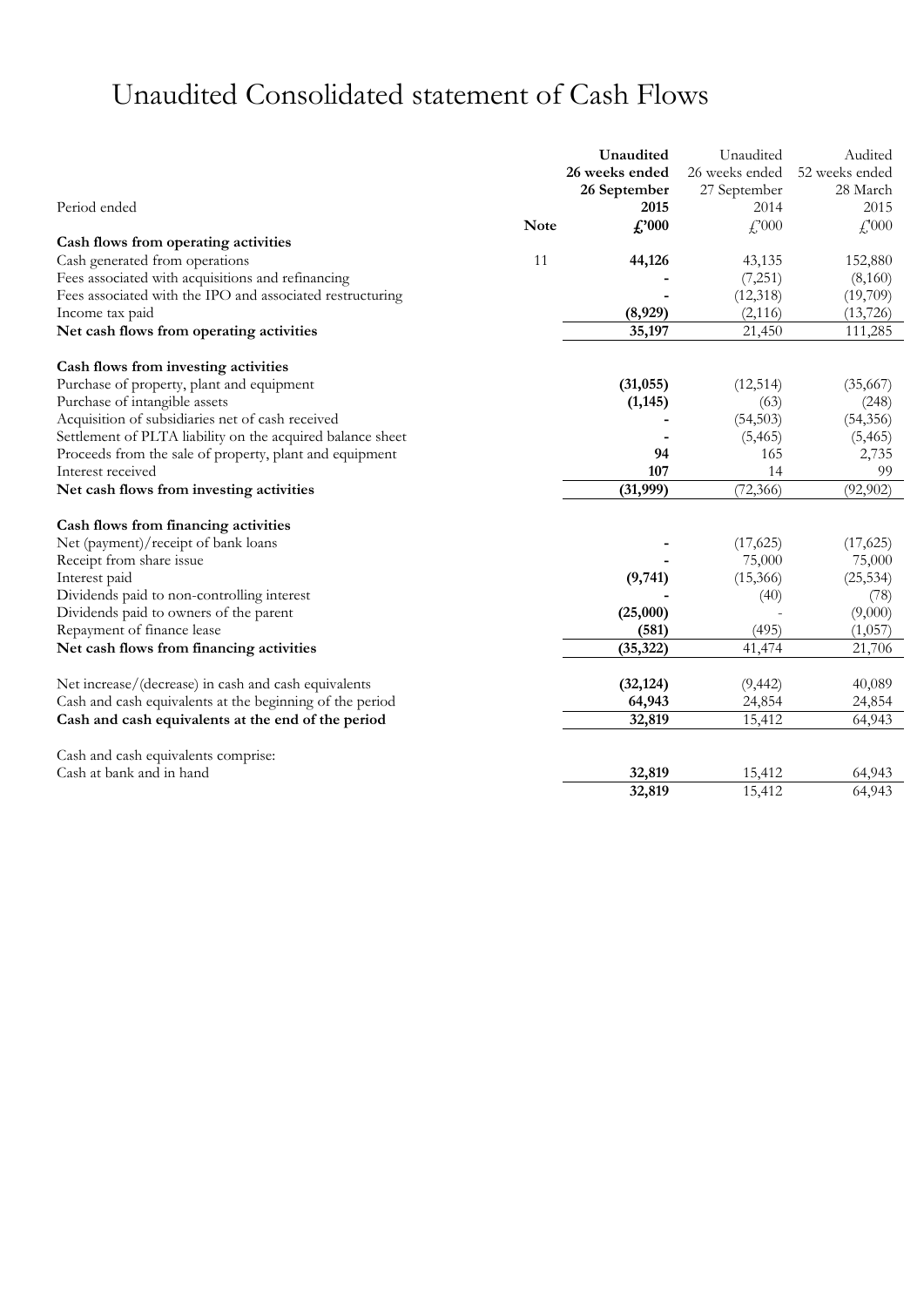# Unaudited Consolidated statement of Cash Flows

|                                                            |             | Unaudited      | Unaudited      | Audited        |
|------------------------------------------------------------|-------------|----------------|----------------|----------------|
|                                                            |             | 26 weeks ended | 26 weeks ended | 52 weeks ended |
|                                                            |             | 26 September   | 27 September   | 28 March       |
| Period ended                                               |             | 2015           | 2014           | 2015           |
|                                                            | <b>Note</b> | $\pounds 000$  | f,000          | $f''_{1000}$   |
| Cash flows from operating activities                       |             |                |                |                |
| Cash generated from operations                             | 11          | 44,126         | 43,135         | 152,880        |
| Fees associated with acquisitions and refinancing          |             |                | (7,251)        | (8,160)        |
| Fees associated with the IPO and associated restructuring  |             |                | (12,318)       | (19,709)       |
| Income tax paid                                            |             | (8,929)        | (2, 116)       | (13, 726)      |
| Net cash flows from operating activities                   |             | 35,197         | 21,450         | 111,285        |
| Cash flows from investing activities                       |             |                |                |                |
| Purchase of property, plant and equipment                  |             | (31, 055)      | (12, 514)      | (35,667)       |
| Purchase of intangible assets                              |             | (1, 145)       | (63)           | (248)          |
| Acquisition of subsidiaries net of cash received           |             |                | (54, 503)      | (54, 356)      |
| Settlement of PLTA liability on the acquired balance sheet |             |                | (5, 465)       | (5, 465)       |
| Proceeds from the sale of property, plant and equipment    |             | 94             | 165            | 2,735          |
| Interest received                                          |             | 107            | 14             | 99             |
| Net cash flows from investing activities                   |             | (31, 999)      | (72, 366)      | (92, 902)      |
| Cash flows from financing activities                       |             |                |                |                |
| Net (payment)/receipt of bank loans                        |             |                | (17, 625)      | (17, 625)      |
| Receipt from share issue                                   |             |                | 75,000         | 75,000         |
| Interest paid                                              |             | (9,741)        | (15,366)       | (25, 534)      |
| Dividends paid to non-controlling interest                 |             |                | (40)           | (78)           |
| Dividends paid to owners of the parent                     |             | (25,000)       |                | (9,000)        |
| Repayment of finance lease                                 |             | (581)          | (495)          | (1,057)        |
| Net cash flows from financing activities                   |             | (35, 322)      | 41,474         | 21,706         |
| Net increase/(decrease) in cash and cash equivalents       |             | (32, 124)      | (9, 442)       | 40,089         |
| Cash and cash equivalents at the beginning of the period   |             | 64,943         | 24,854         | 24,854         |
| Cash and cash equivalents at the end of the period         |             | 32,819         | 15,412         | 64,943         |
| Cash and cash equivalents comprise:                        |             |                |                |                |
| Cash at bank and in hand                                   |             | 32,819         | 15,412         | 64,943         |
|                                                            |             | 32,819         | 15,412         | 64,943         |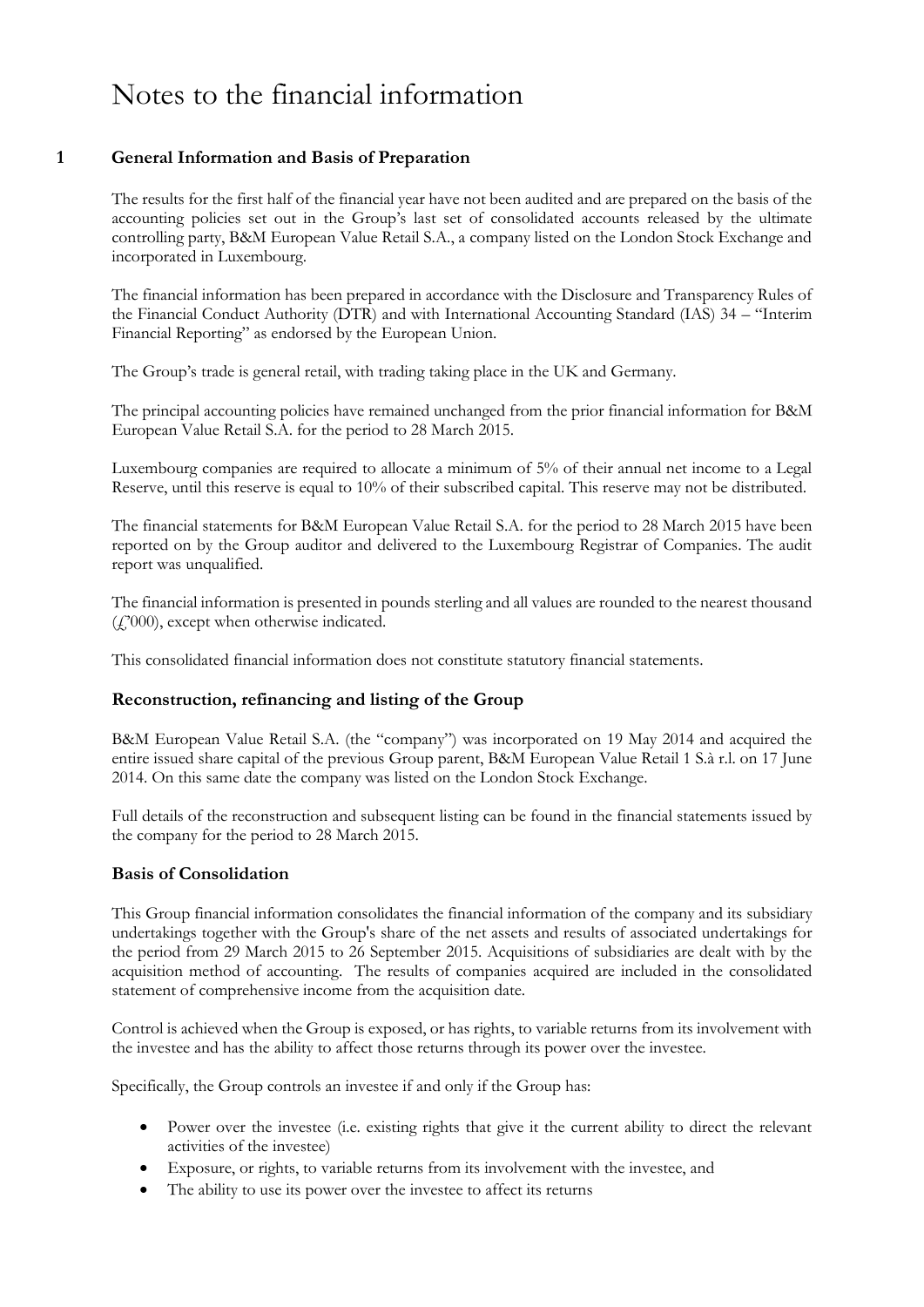## Notes to the financial information

#### **1 General Information and Basis of Preparation**

The results for the first half of the financial year have not been audited and are prepared on the basis of the accounting policies set out in the Group's last set of consolidated accounts released by the ultimate controlling party, B&M European Value Retail S.A., a company listed on the London Stock Exchange and incorporated in Luxembourg.

The financial information has been prepared in accordance with the Disclosure and Transparency Rules of the Financial Conduct Authority (DTR) and with International Accounting Standard (IAS) 34 – "Interim Financial Reporting" as endorsed by the European Union.

The Group's trade is general retail, with trading taking place in the UK and Germany.

The principal accounting policies have remained unchanged from the prior financial information for B&M European Value Retail S.A. for the period to 28 March 2015.

Luxembourg companies are required to allocate a minimum of 5% of their annual net income to a Legal Reserve, until this reserve is equal to 10% of their subscribed capital. This reserve may not be distributed.

The financial statements for B&M European Value Retail S.A. for the period to 28 March 2015 have been reported on by the Group auditor and delivered to the Luxembourg Registrar of Companies. The audit report was unqualified.

The financial information is presented in pounds sterling and all values are rounded to the nearest thousand (£'000), except when otherwise indicated.

This consolidated financial information does not constitute statutory financial statements.

#### **Reconstruction, refinancing and listing of the Group**

B&M European Value Retail S.A. (the "company") was incorporated on 19 May 2014 and acquired the entire issued share capital of the previous Group parent, B&M European Value Retail 1 S.à r.l. on 17 June 2014. On this same date the company was listed on the London Stock Exchange.

Full details of the reconstruction and subsequent listing can be found in the financial statements issued by the company for the period to 28 March 2015.

#### **Basis of Consolidation**

This Group financial information consolidates the financial information of the company and its subsidiary undertakings together with the Group's share of the net assets and results of associated undertakings for the period from 29 March 2015 to 26 September 2015. Acquisitions of subsidiaries are dealt with by the acquisition method of accounting. The results of companies acquired are included in the consolidated statement of comprehensive income from the acquisition date.

Control is achieved when the Group is exposed, or has rights, to variable returns from its involvement with the investee and has the ability to affect those returns through its power over the investee.

Specifically, the Group controls an investee if and only if the Group has:

- Power over the investee (i.e. existing rights that give it the current ability to direct the relevant activities of the investee)
- Exposure, or rights, to variable returns from its involvement with the investee, and
- The ability to use its power over the investee to affect its returns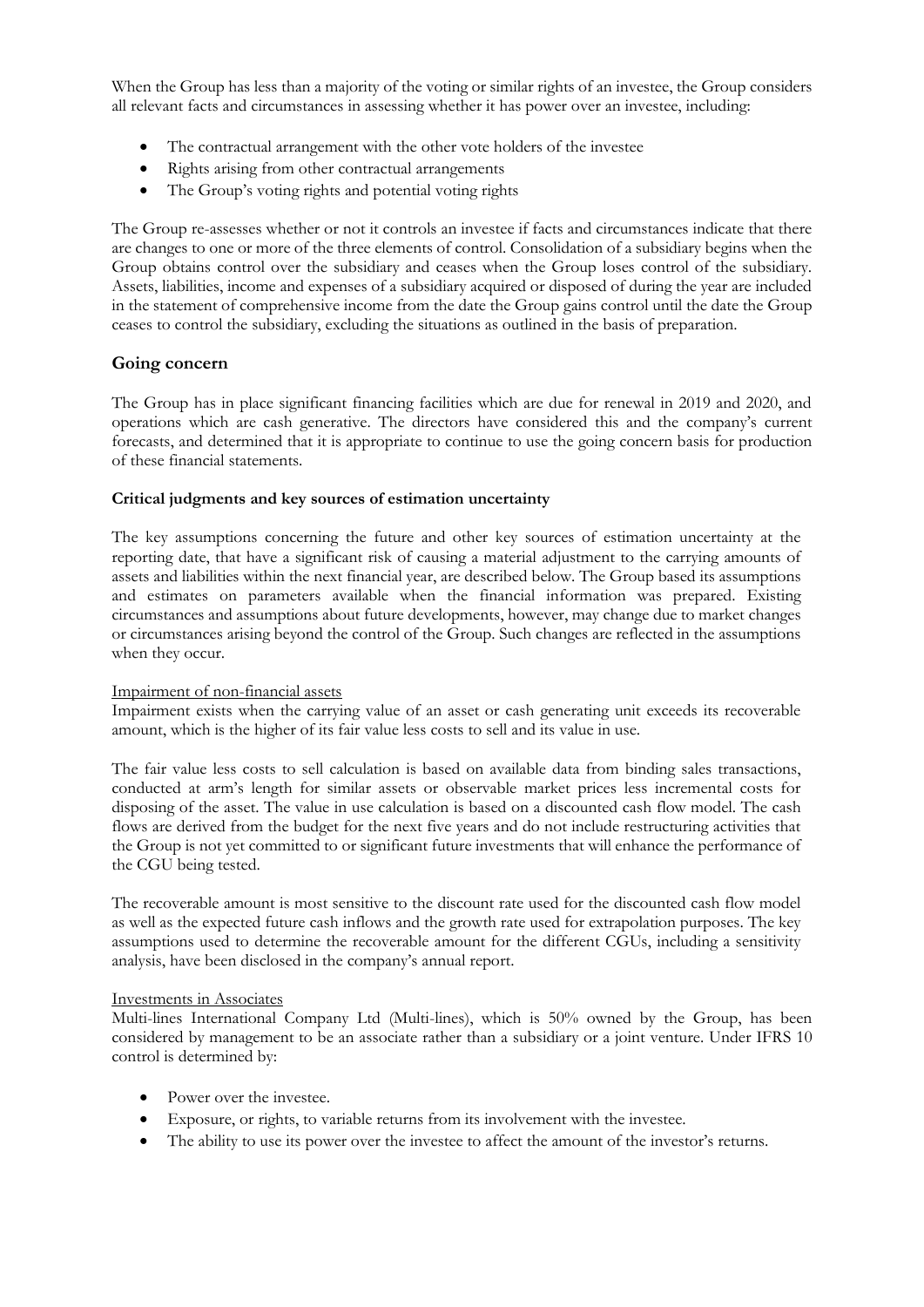When the Group has less than a majority of the voting or similar rights of an investee, the Group considers all relevant facts and circumstances in assessing whether it has power over an investee, including:

- The contractual arrangement with the other vote holders of the investee
- Rights arising from other contractual arrangements
- The Group's voting rights and potential voting rights

The Group re-assesses whether or not it controls an investee if facts and circumstances indicate that there are changes to one or more of the three elements of control. Consolidation of a subsidiary begins when the Group obtains control over the subsidiary and ceases when the Group loses control of the subsidiary. Assets, liabilities, income and expenses of a subsidiary acquired or disposed of during the year are included in the statement of comprehensive income from the date the Group gains control until the date the Group ceases to control the subsidiary, excluding the situations as outlined in the basis of preparation.

#### **Going concern**

The Group has in place significant financing facilities which are due for renewal in 2019 and 2020, and operations which are cash generative. The directors have considered this and the company's current forecasts, and determined that it is appropriate to continue to use the going concern basis for production of these financial statements.

#### **Critical judgments and key sources of estimation uncertainty**

The key assumptions concerning the future and other key sources of estimation uncertainty at the reporting date, that have a significant risk of causing a material adjustment to the carrying amounts of assets and liabilities within the next financial year, are described below. The Group based its assumptions and estimates on parameters available when the financial information was prepared. Existing circumstances and assumptions about future developments, however, may change due to market changes or circumstances arising beyond the control of the Group. Such changes are reflected in the assumptions when they occur.

#### Impairment of non-financial assets

Impairment exists when the carrying value of an asset or cash generating unit exceeds its recoverable amount, which is the higher of its fair value less costs to sell and its value in use.

The fair value less costs to sell calculation is based on available data from binding sales transactions, conducted at arm's length for similar assets or observable market prices less incremental costs for disposing of the asset. The value in use calculation is based on a discounted cash flow model. The cash flows are derived from the budget for the next five years and do not include restructuring activities that the Group is not yet committed to or significant future investments that will enhance the performance of the CGU being tested.

The recoverable amount is most sensitive to the discount rate used for the discounted cash flow model as well as the expected future cash inflows and the growth rate used for extrapolation purposes. The key assumptions used to determine the recoverable amount for the different CGUs, including a sensitivity analysis, have been disclosed in the company's annual report.

#### Investments in Associates

Multi-lines International Company Ltd (Multi-lines), which is 50% owned by the Group, has been considered by management to be an associate rather than a subsidiary or a joint venture. Under IFRS 10 control is determined by:

- Power over the investee.
- Exposure, or rights, to variable returns from its involvement with the investee.
- The ability to use its power over the investee to affect the amount of the investor's returns.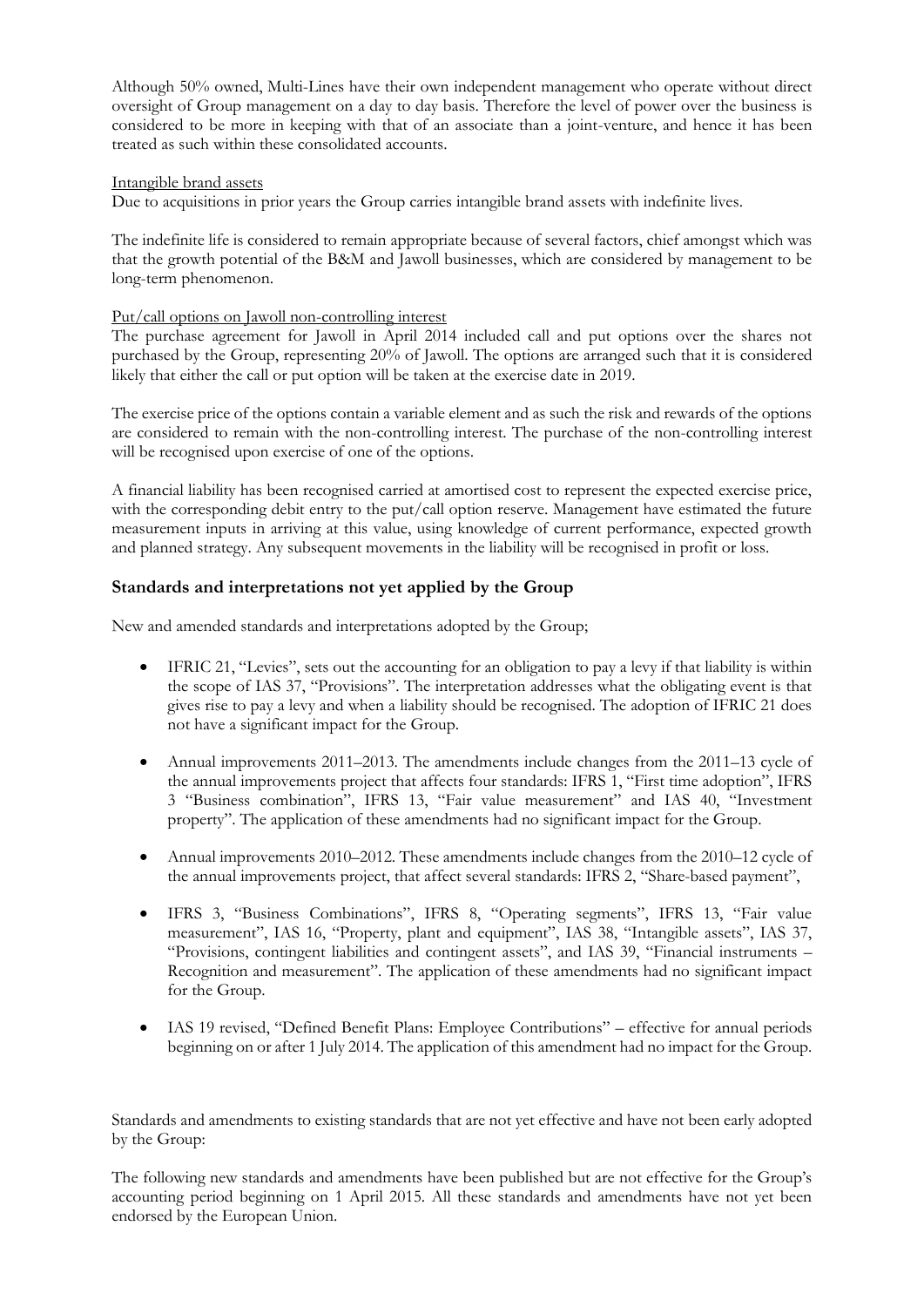Although 50% owned, Multi-Lines have their own independent management who operate without direct oversight of Group management on a day to day basis. Therefore the level of power over the business is considered to be more in keeping with that of an associate than a joint-venture, and hence it has been treated as such within these consolidated accounts.

#### Intangible brand assets

Due to acquisitions in prior years the Group carries intangible brand assets with indefinite lives.

The indefinite life is considered to remain appropriate because of several factors, chief amongst which was that the growth potential of the B&M and Jawoll businesses, which are considered by management to be long-term phenomenon.

#### Put/call options on Jawoll non-controlling interest

The purchase agreement for Jawoll in April 2014 included call and put options over the shares not purchased by the Group, representing 20% of Jawoll. The options are arranged such that it is considered likely that either the call or put option will be taken at the exercise date in 2019.

The exercise price of the options contain a variable element and as such the risk and rewards of the options are considered to remain with the non-controlling interest. The purchase of the non-controlling interest will be recognised upon exercise of one of the options.

A financial liability has been recognised carried at amortised cost to represent the expected exercise price, with the corresponding debit entry to the put/call option reserve. Management have estimated the future measurement inputs in arriving at this value, using knowledge of current performance, expected growth and planned strategy. Any subsequent movements in the liability will be recognised in profit or loss.

#### **Standards and interpretations not yet applied by the Group**

New and amended standards and interpretations adopted by the Group;

- IFRIC 21, "Levies", sets out the accounting for an obligation to pay a levy if that liability is within the scope of IAS 37, "Provisions". The interpretation addresses what the obligating event is that gives rise to pay a levy and when a liability should be recognised. The adoption of IFRIC 21 does not have a significant impact for the Group.
- Annual improvements 2011–2013. The amendments include changes from the 2011–13 cycle of the annual improvements project that affects four standards: IFRS 1, "First time adoption", IFRS 3 "Business combination", IFRS 13, "Fair value measurement" and IAS 40, "Investment property". The application of these amendments had no significant impact for the Group.
- Annual improvements 2010–2012. These amendments include changes from the 2010–12 cycle of the annual improvements project, that affect several standards: IFRS 2, "Share-based payment",
- IFRS 3, "Business Combinations", IFRS 8, "Operating segments", IFRS 13, "Fair value measurement", IAS 16, "Property, plant and equipment", IAS 38, "Intangible assets", IAS 37, "Provisions, contingent liabilities and contingent assets", and IAS 39, "Financial instruments – Recognition and measurement". The application of these amendments had no significant impact for the Group.
- IAS 19 revised, "Defined Benefit Plans: Employee Contributions" effective for annual periods beginning on or after 1 July 2014. The application of this amendment had no impact for the Group.

Standards and amendments to existing standards that are not yet effective and have not been early adopted by the Group:

The following new standards and amendments have been published but are not effective for the Group's accounting period beginning on 1 April 2015. All these standards and amendments have not yet been endorsed by the European Union.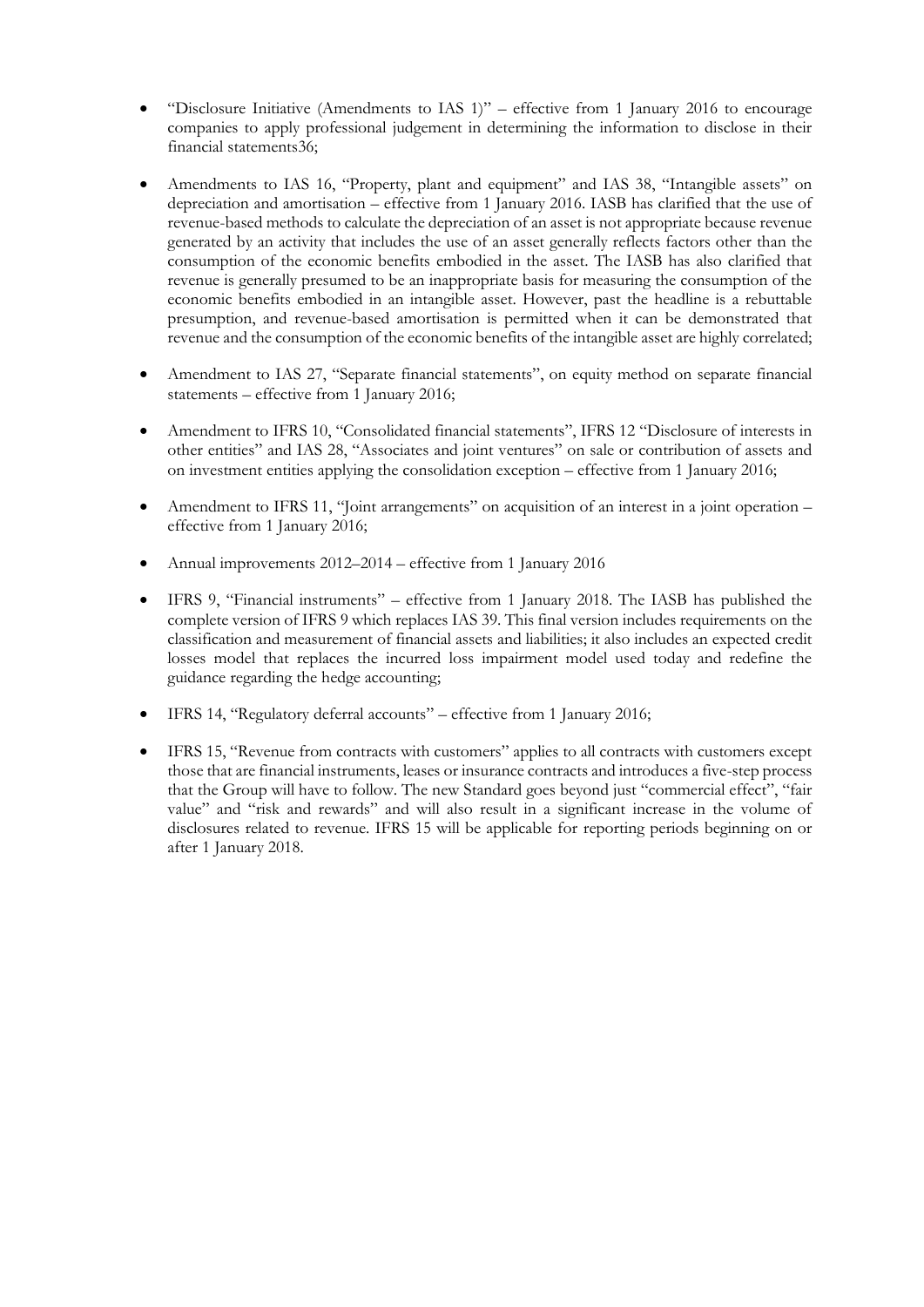- "Disclosure Initiative (Amendments to IAS 1)" effective from 1 January 2016 to encourage companies to apply professional judgement in determining the information to disclose in their financial statements36;
- Amendments to IAS 16, "Property, plant and equipment" and IAS 38, "Intangible assets" on depreciation and amortisation – effective from 1 January 2016. IASB has clarified that the use of revenue-based methods to calculate the depreciation of an asset is not appropriate because revenue generated by an activity that includes the use of an asset generally reflects factors other than the consumption of the economic benefits embodied in the asset. The IASB has also clarified that revenue is generally presumed to be an inappropriate basis for measuring the consumption of the economic benefits embodied in an intangible asset. However, past the headline is a rebuttable presumption, and revenue-based amortisation is permitted when it can be demonstrated that revenue and the consumption of the economic benefits of the intangible asset are highly correlated;
- Amendment to IAS 27, "Separate financial statements", on equity method on separate financial statements – effective from 1 January 2016;
- Amendment to IFRS 10, "Consolidated financial statements", IFRS 12 "Disclosure of interests in other entities" and IAS 28, "Associates and joint ventures" on sale or contribution of assets and on investment entities applying the consolidation exception – effective from 1 January 2016;
- Amendment to IFRS 11, "Joint arrangements" on acquisition of an interest in a joint operation effective from 1 January 2016;
- Annual improvements 2012–2014 effective from 1 January 2016
- IFRS 9, "Financial instruments" effective from 1 January 2018. The IASB has published the complete version of IFRS 9 which replaces IAS 39. This final version includes requirements on the classification and measurement of financial assets and liabilities; it also includes an expected credit losses model that replaces the incurred loss impairment model used today and redefine the guidance regarding the hedge accounting;
- IFRS 14, "Regulatory deferral accounts" effective from 1 January 2016;
- IFRS 15, "Revenue from contracts with customers" applies to all contracts with customers except those that are financial instruments, leases or insurance contracts and introduces a five-step process that the Group will have to follow. The new Standard goes beyond just "commercial effect", "fair value" and "risk and rewards" and will also result in a significant increase in the volume of disclosures related to revenue. IFRS 15 will be applicable for reporting periods beginning on or after 1 January 2018.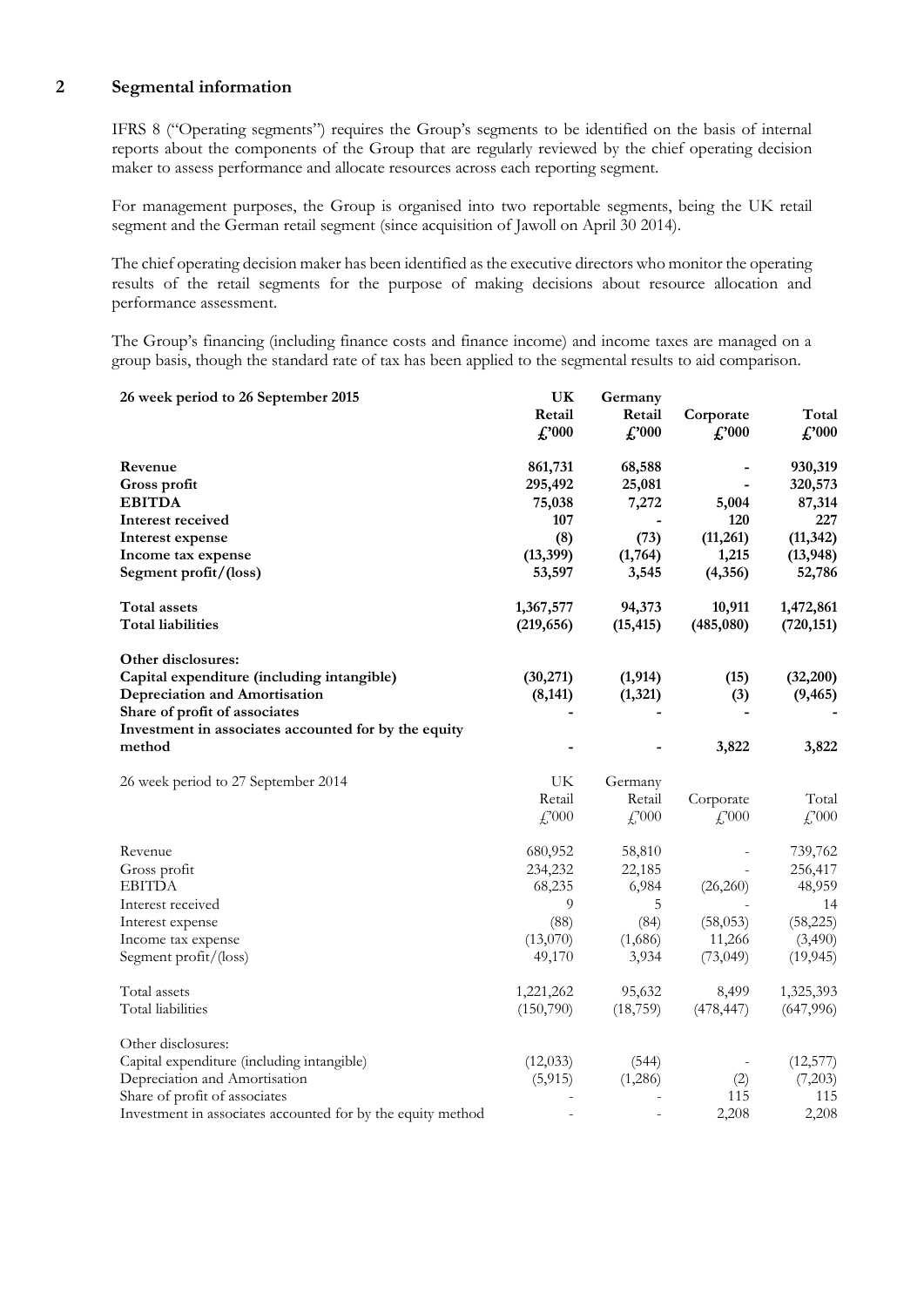#### **2 Segmental information**

IFRS 8 ("Operating segments") requires the Group's segments to be identified on the basis of internal reports about the components of the Group that are regularly reviewed by the chief operating decision maker to assess performance and allocate resources across each reporting segment.

For management purposes, the Group is organised into two reportable segments, being the UK retail segment and the German retail segment (since acquisition of Jawoll on April 30 2014).

The chief operating decision maker has been identified as the executive directors who monitor the operating results of the retail segments for the purpose of making decisions about resource allocation and performance assessment.

The Group's financing (including finance costs and finance income) and income taxes are managed on a group basis, though the standard rate of tax has been applied to the segmental results to aid comparison.

| 26 week period to 26 September 2015                         | UK            | Germany        |                              |                             |
|-------------------------------------------------------------|---------------|----------------|------------------------------|-----------------------------|
|                                                             | Retail        | Retail         | Corporate                    | Total                       |
|                                                             | $\pounds 000$ | $\pounds$ '000 | $\pounds 000$                | $\pounds 000$               |
|                                                             |               |                |                              |                             |
| Revenue                                                     | 861,731       | 68,588         |                              | 930,319                     |
| Gross profit                                                | 295,492       | 25,081         | $\qquad \qquad \blacksquare$ | 320,573                     |
| <b>EBITDA</b>                                               | 75,038        | 7,272          | 5,004                        | 87,314                      |
| Interest received                                           | 107           |                | 120                          | 227                         |
| Interest expense                                            | (8)           | (73)           | (11,261)                     | (11, 342)                   |
| Income tax expense                                          | (13, 399)     | (1,764)        | 1,215                        | (13, 948)                   |
| Segment profit/(loss)                                       | 53,597        | 3,545          | (4,356)                      | 52,786                      |
| Total assets                                                | 1,367,577     | 94,373         | 10,911                       | 1,472,861                   |
| <b>Total liabilities</b>                                    | (219, 656)    | (15, 415)      | (485,080)                    | (720, 151)                  |
| Other disclosures:                                          |               |                |                              |                             |
| Capital expenditure (including intangible)                  | (30,271)      | (1, 914)       | (15)                         | (32,200)                    |
| <b>Depreciation and Amortisation</b>                        | (8, 141)      | (1, 321)       | (3)                          | (9, 465)                    |
| Share of profit of associates                               |               |                |                              |                             |
| Investment in associates accounted for by the equity        |               |                |                              |                             |
| method                                                      |               |                | 3,822                        | 3,822                       |
|                                                             |               |                |                              |                             |
| 26 week period to 27 September 2014                         | UK            | Germany        |                              |                             |
|                                                             | Retail        | Retail         | Corporate                    | Total                       |
|                                                             | £,000         | f,000          | $\mathcal{L}^{000}$          | $\textcolor{red}{f}^{2000}$ |
|                                                             |               |                |                              |                             |
| Revenue                                                     | 680,952       | 58,810         |                              | 739,762                     |
| Gross profit                                                | 234,232       | 22,185         |                              | 256,417                     |
| <b>EBITDA</b>                                               | 68,235        | 6,984          | (26,260)                     | 48,959                      |
| Interest received                                           | 9             | 5              |                              | 14                          |
| Interest expense                                            | (88)          | (84)           | (58,053)                     | (58, 225)                   |
| Income tax expense                                          | (13,070)      | (1,686)        | 11,266                       | (3,490)                     |
| Segment profit/(loss)                                       | 49,170        | 3,934          | (73,049)                     | (19, 945)                   |
| Total assets                                                | 1,221,262     | 95,632         | 8,499                        | 1,325,393                   |
| Total liabilities                                           | (150,790)     | (18, 759)      | (478, 447)                   | (647,996)                   |
| Other disclosures:                                          |               |                |                              |                             |
| Capital expenditure (including intangible)                  | (12,033)      | (544)          |                              | (12, 577)                   |
| Depreciation and Amortisation                               | (5, 915)      | (1,286)        | (2)                          | (7,203)                     |
| Share of profit of associates                               |               |                | 115                          | 115                         |
| Investment in associates accounted for by the equity method |               |                | 2,208                        | 2,208                       |
|                                                             |               |                |                              |                             |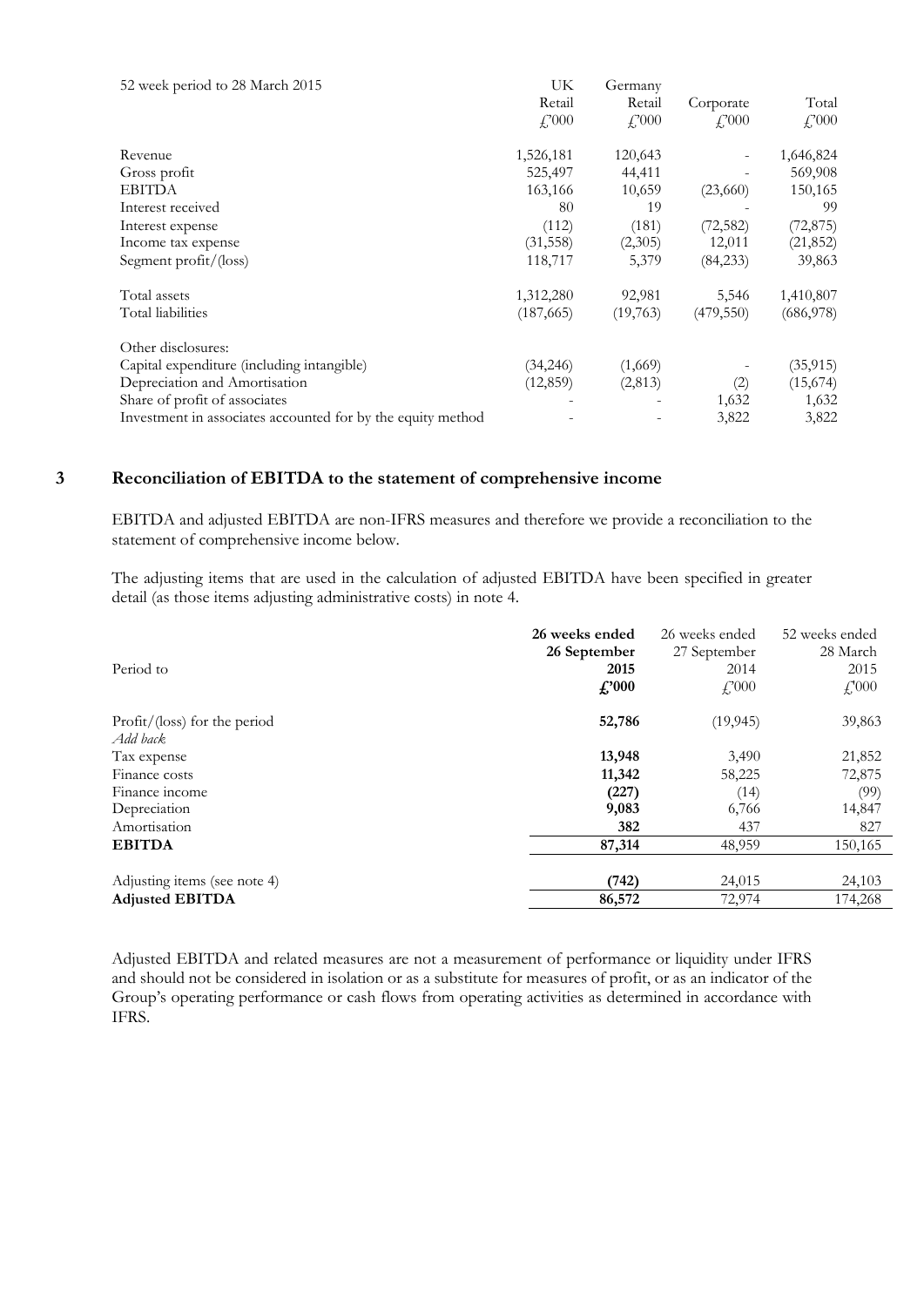| 52 week period to 28 March 2015                             | UK            | Germany        |                       |           |
|-------------------------------------------------------------|---------------|----------------|-----------------------|-----------|
|                                                             | Retail        | Retail         | Corporate             | Total     |
|                                                             | $f_{00}^{00}$ | $f_{1}^{2}000$ | $\frac{17000}{25000}$ | f''(000)  |
| Revenue                                                     | 1,526,181     | 120,643        |                       | 1,646,824 |
| Gross profit                                                | 525,497       | 44,411         |                       | 569,908   |
| <b>EBITDA</b>                                               | 163,166       | 10,659         | (23,660)              | 150,165   |
| Interest received                                           | 80            | 19             |                       | 99        |
| Interest expense                                            | (112)         | (181)          | (72, 582)             | (72, 875) |
| Income tax expense                                          | (31, 558)     | (2,305)        | 12,011                | (21, 852) |
| Segment profit/(loss)                                       | 118,717       | 5,379          | (84,233)              | 39,863    |
| Total assets                                                | 1,312,280     | 92,981         | 5,546                 | 1,410,807 |
| Total liabilities                                           | (187, 665)    | (19,763)       | (479, 550)            | (686,978) |
| Other disclosures:                                          |               |                |                       |           |
| Capital expenditure (including intangible)                  | (34,246)      | (1,669)        |                       | (35, 915) |
| Depreciation and Amortisation                               | (12, 859)     | (2,813)        | (2)                   | (15,674)  |
| Share of profit of associates                               |               |                | 1,632                 | 1,632     |
| Investment in associates accounted for by the equity method |               |                | 3,822                 | 3,822     |

#### **3 Reconciliation of EBITDA to the statement of comprehensive income**

EBITDA and adjusted EBITDA are non-IFRS measures and therefore we provide a reconciliation to the statement of comprehensive income below.

The adjusting items that are used in the calculation of adjusted EBITDA have been specified in greater detail (as those items adjusting administrative costs) in note 4.

|                               | 26 weeks ended | 26 weeks ended | 52 weeks ended |
|-------------------------------|----------------|----------------|----------------|
|                               | 26 September   | 27 September   | 28 March       |
| Period to                     | 2015           | 2014           | 2015           |
|                               | $f$ '000       | $f{,}000$      | $f'_{1000}$    |
| Profit/ (loss) for the period | 52,786         | (19, 945)      | 39,863         |
| Add back                      |                |                |                |
| Tax expense                   | 13,948         | 3,490          | 21,852         |
| Finance costs                 | 11,342         | 58,225         | 72,875         |
| Finance income                | (227)          | (14)           | (99)           |
| Depreciation                  | 9,083          | 6,766          | 14,847         |
| Amortisation                  | 382            | 437            | 827            |
| <b>EBITDA</b>                 | 87,314         | 48,959         | 150,165        |
|                               |                |                |                |
| Adjusting items (see note 4)  | (742)          | 24,015         | 24,103         |
| <b>Adjusted EBITDA</b>        | 86,572         | 72,974         | 174,268        |
|                               |                |                |                |

Adjusted EBITDA and related measures are not a measurement of performance or liquidity under IFRS and should not be considered in isolation or as a substitute for measures of profit, or as an indicator of the Group's operating performance or cash flows from operating activities as determined in accordance with IFRS.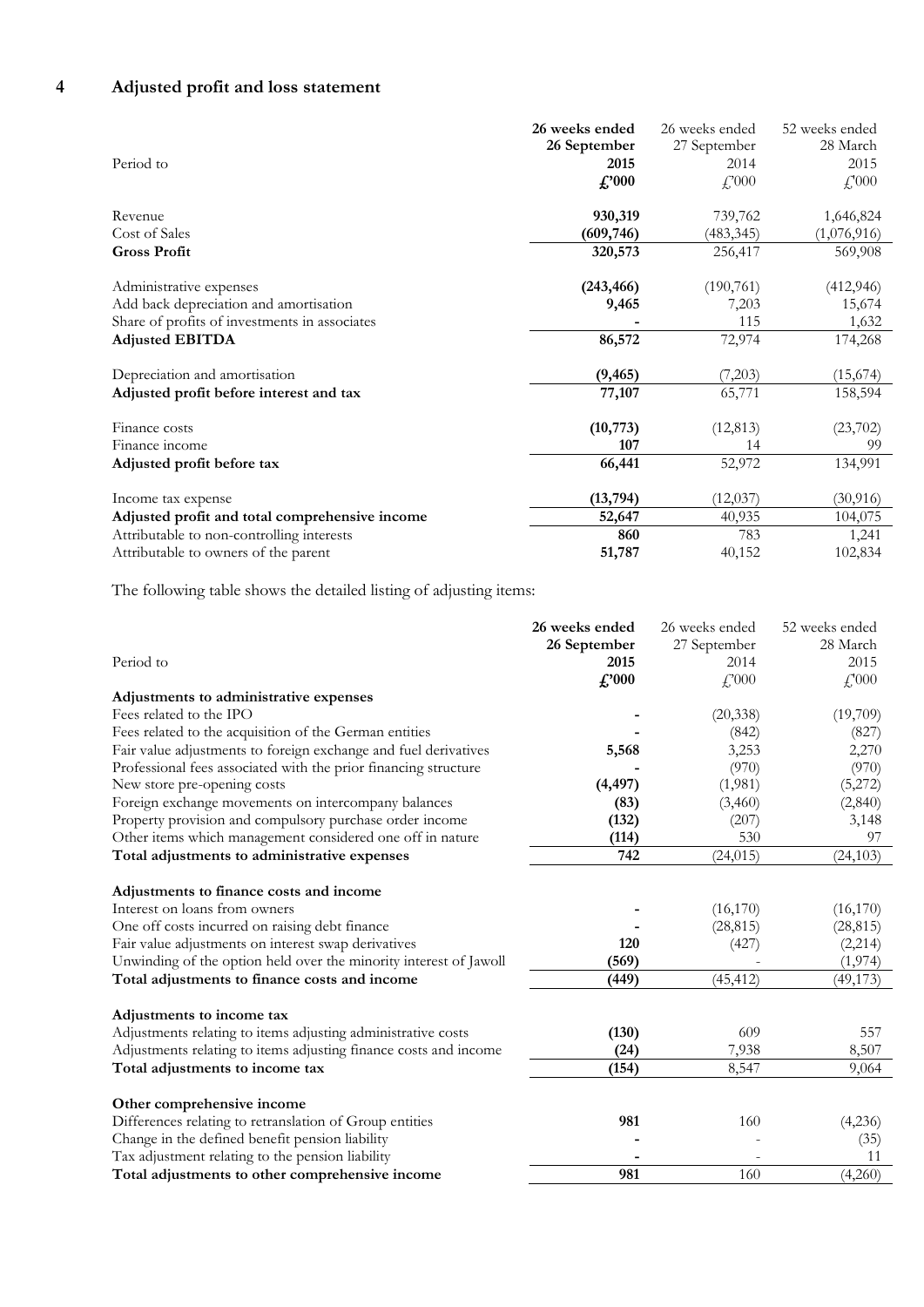### **4 Adjusted profit and loss statement**

| Period to                                      | 26 weeks ended<br>26 September<br>2015<br>$\pounds 000$ | 26 weeks ended<br>27 September<br>2014<br>f,000 | 52 weeks ended<br>28 March<br>2015<br>$\mathcal{L}$ <sup>1</sup> 000 |
|------------------------------------------------|---------------------------------------------------------|-------------------------------------------------|----------------------------------------------------------------------|
| Revenue                                        | 930,319                                                 | 739,762                                         | 1,646,824                                                            |
| Cost of Sales                                  | (609, 746)                                              | (483, 345)                                      | (1,076,916)                                                          |
| <b>Gross Profit</b>                            | 320,573                                                 | 256,417                                         | 569,908                                                              |
| Administrative expenses                        | (243, 466)                                              | (190, 761)                                      | (412, 946)                                                           |
| Add back depreciation and amortisation         | 9,465                                                   | 7,203                                           | 15,674                                                               |
| Share of profits of investments in associates  |                                                         | 115                                             | 1,632                                                                |
| <b>Adjusted EBITDA</b>                         | 86,572                                                  | 72,974                                          | 174,268                                                              |
| Depreciation and amortisation                  | (9, 465)                                                | (7,203)                                         | (15,674)                                                             |
| Adjusted profit before interest and tax        | 77,107                                                  | 65,771                                          | 158,594                                                              |
| Finance costs<br>Finance income                | (10, 773)<br>107                                        | (12, 813)<br>14                                 | (23,702)<br>99                                                       |
|                                                |                                                         |                                                 |                                                                      |
| Adjusted profit before tax                     | 66,441                                                  | 52,972                                          | 134,991                                                              |
| Income tax expense                             | (13, 794)                                               | (12, 037)                                       | (30, 916)                                                            |
| Adjusted profit and total comprehensive income | 52,647                                                  | 40,935                                          | 104,075                                                              |
| Attributable to non-controlling interests      | 860                                                     | 783                                             | 1,241                                                                |
| Attributable to owners of the parent           | 51,787                                                  | 40,152                                          | 102,834                                                              |

The following table shows the detailed listing of adjusting items:

|                                                                   | 26 weeks ended | 26 weeks ended | 52 weeks ended  |
|-------------------------------------------------------------------|----------------|----------------|-----------------|
|                                                                   | 26 September   | 27 September   | 28 March        |
| Period to                                                         | 2015           | 2014           | 2015            |
|                                                                   | $\pounds$ '000 | $f$ , 000      | $f'_{\cdot}000$ |
| Adjustments to administrative expenses                            |                |                |                 |
| Fees related to the IPO                                           |                | (20, 338)      | (19,709)        |
| Fees related to the acquisition of the German entities            |                | (842)          | (827)           |
| Fair value adjustments to foreign exchange and fuel derivatives   | 5,568          | 3,253          | 2,270           |
| Professional fees associated with the prior financing structure   |                | (970)          | (970)           |
| New store pre-opening costs                                       | (4, 497)       | (1,981)        | (5,272)         |
| Foreign exchange movements on intercompany balances               | (83)           | (3,460)        | (2,840)         |
| Property provision and compulsory purchase order income           | (132)          | (207)          | 3,148           |
| Other items which management considered one off in nature         | (114)          | 530            | 97              |
| Total adjustments to administrative expenses                      | 742            | (24, 015)      | (24, 103)       |
| Adjustments to finance costs and income                           |                |                |                 |
| Interest on loans from owners                                     |                | (16, 170)      | (16,170)        |
| One off costs incurred on raising debt finance                    |                | (28, 815)      | (28, 815)       |
| Fair value adjustments on interest swap derivatives               | 120            | (427)          | (2,214)         |
| Unwinding of the option held over the minority interest of Jawoll | (569)          |                | (1, 974)        |
| Total adjustments to finance costs and income                     | (449)          | (45, 412)      | (49, 173)       |
|                                                                   |                |                |                 |
| Adjustments to income tax                                         |                |                |                 |
| Adjustments relating to items adjusting administrative costs      | (130)          | 609            | 557             |
| Adjustments relating to items adjusting finance costs and income  | (24)           | 7,938          | 8,507           |
| Total adjustments to income tax                                   | (154)          | 8,547          | 9,064           |
| Other comprehensive income                                        |                |                |                 |
| Differences relating to retranslation of Group entities           | 981            | 160            | (4,236)         |
| Change in the defined benefit pension liability                   |                |                | (35)            |
| Tax adjustment relating to the pension liability                  |                |                | 11              |
| Total adjustments to other comprehensive income                   | 981            | 160            | (4,260)         |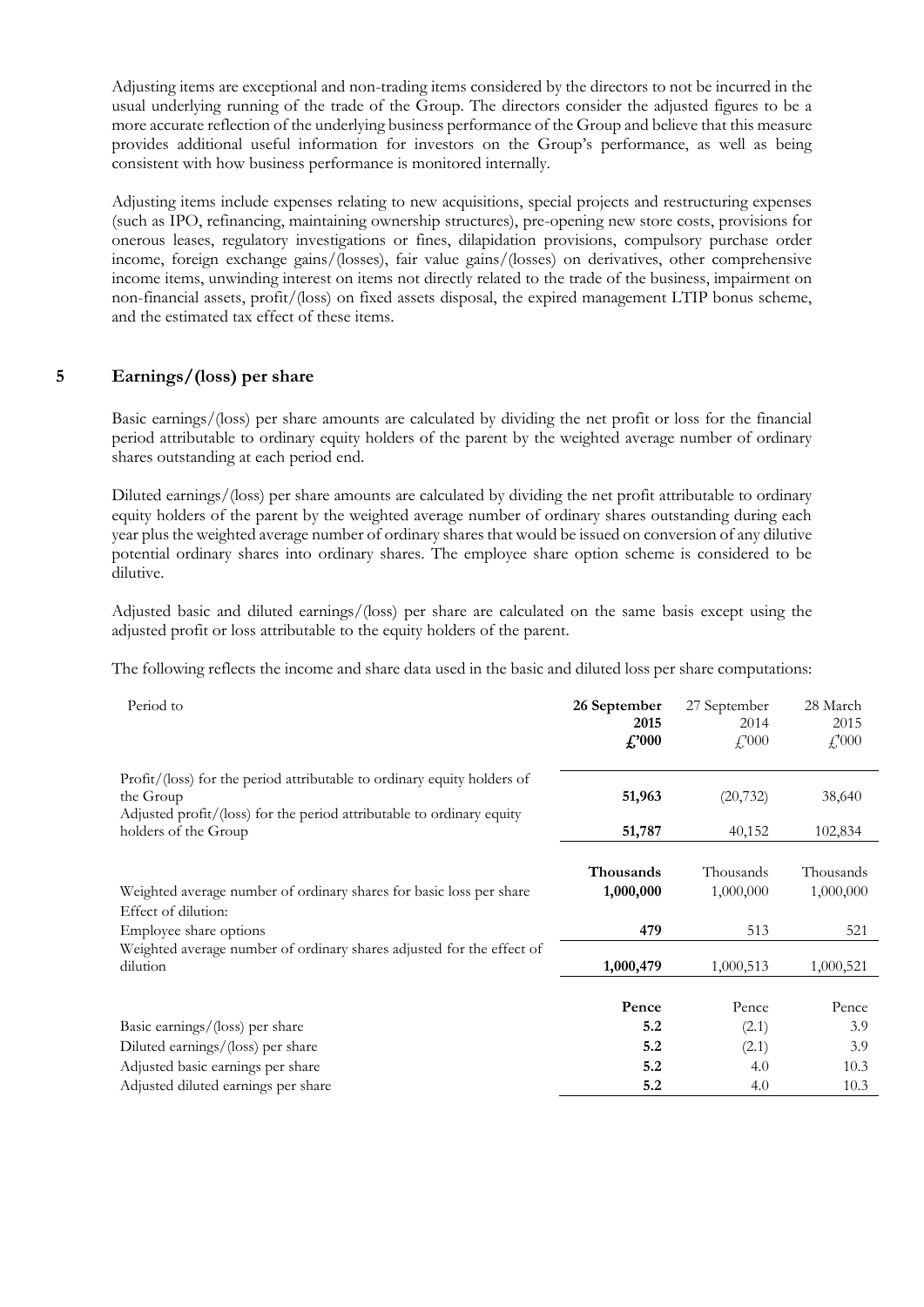Adjusting items are exceptional and non-trading items considered by the directors to not be incurred in the usual underlying running of the trade of the Group. The directors consider the adjusted figures to be a more accurate reflection of the underlying business performance of the Group and believe that this measure provides additional useful information for investors on the Group's performance, as well as being consistent with how business performance is monitored internally.

Adjusting items include expenses relating to new acquisitions, special projects and restructuring expenses (such as IPO, refinancing, maintaining ownership structures), pre-opening new store costs, provisions for onerous leases, regulatory investigations or fines, dilapidation provisions, compulsory purchase order income, foreign exchange gains/(losses), fair value gains/(losses) on derivatives, other comprehensive income items, unwinding interest on items not directly related to the trade of the business, impairment on non-financial assets, profit/(loss) on fixed assets disposal, the expired management LTIP bonus scheme, and the estimated tax effect of these items.

#### **5 Earnings/(loss) per share**

Basic earnings/(loss) per share amounts are calculated by dividing the net profit or loss for the financial period attributable to ordinary equity holders of the parent by the weighted average number of ordinary shares outstanding at each period end.

Diluted earnings/(loss) per share amounts are calculated by dividing the net profit attributable to ordinary equity holders of the parent by the weighted average number of ordinary shares outstanding during each year plus the weighted average number of ordinary shares that would be issued on conversion of any dilutive potential ordinary shares into ordinary shares. The employee share option scheme is considered to be dilutive.

Adjusted basic and diluted earnings/(loss) per share are calculated on the same basis except using the adjusted profit or loss attributable to the equity holders of the parent.

The following reflects the income and share data used in the basic and diluted loss per share computations:

| Period to                                                                                                                                                     | 26 September<br>2015<br>$\pounds 000$ | 27 September<br>2014<br>$f$ , 000 | 28 March<br>2015<br>$\textcolor{red}{f_0^2}000$ |
|---------------------------------------------------------------------------------------------------------------------------------------------------------------|---------------------------------------|-----------------------------------|-------------------------------------------------|
| Profit/(loss) for the period attributable to ordinary equity holders of<br>the Group<br>Adjusted profit/(loss) for the period attributable to ordinary equity | 51,963                                | (20, 732)                         | 38,640                                          |
| holders of the Group                                                                                                                                          | 51,787                                | 40,152                            | 102,834                                         |
| Weighted average number of ordinary shares for basic loss per share<br>Effect of dilution:<br>Employee share options                                          | <b>Thousands</b><br>1,000,000<br>479  | Thousands<br>1,000,000<br>513     | Thousands<br>1,000,000<br>521                   |
| Weighted average number of ordinary shares adjusted for the effect of<br>dilution                                                                             | 1,000,479                             | 1,000,513                         | 1,000,521                                       |
|                                                                                                                                                               | Pence                                 | Pence                             | Pence                                           |
| Basic earnings/(loss) per share                                                                                                                               | 5.2                                   | (2.1)                             | 3.9                                             |
| Diluted earnings/(loss) per share                                                                                                                             | 5.2                                   | (2.1)                             | 3.9                                             |
| Adjusted basic earnings per share                                                                                                                             | 5.2                                   | 4.0                               | 10.3                                            |
| Adjusted diluted earnings per share                                                                                                                           | 5.2                                   | 4.0                               | 10.3                                            |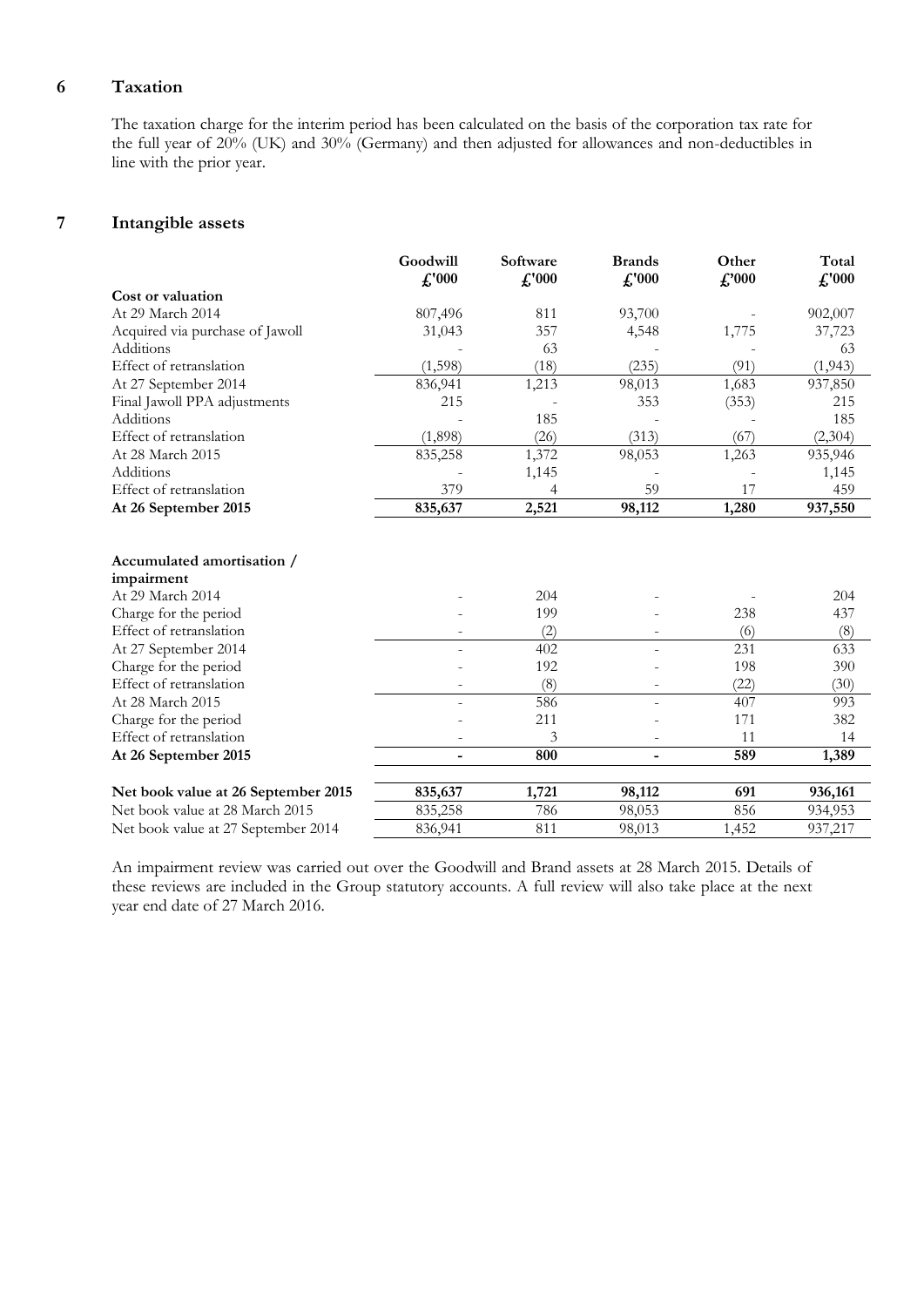#### **6 Taxation**

The taxation charge for the interim period has been calculated on the basis of the corporation tax rate for the full year of 20% (UK) and 30% (Germany) and then adjusted for allowances and non-deductibles in line with the prior year.

#### **7 Intangible assets**

|                                          | Goodwill       | Software       | <b>Brands</b>  | Other         | Total          |
|------------------------------------------|----------------|----------------|----------------|---------------|----------------|
|                                          | $\pounds$ '000 | $\pounds$ '000 | $\pounds$ '000 | $\pounds 000$ | $\pounds$ '000 |
| Cost or valuation                        |                |                |                |               |                |
| At 29 March 2014                         | 807,496        | 811            | 93,700         |               | 902,007        |
| Acquired via purchase of Jawoll          | 31,043         | 357            | 4,548          | 1,775         | 37,723         |
| Additions                                |                | 63             |                |               | 63             |
| Effect of retranslation                  | (1,598)        | (18)           | (235)          | (91)          | (1, 943)       |
| At 27 September 2014                     | 836,941        | 1,213          | 98,013         | 1,683         | 937,850        |
| Final Jawoll PPA adjustments             | 215            |                | 353            | (353)         | 215            |
| Additions                                |                | 185            |                |               | 185            |
| Effect of retranslation                  | (1,898)        | (26)           | (313)          | (67)          | (2,304)        |
| At 28 March 2015                         | 835,258        | 1,372          | 98,053         | 1,263         | 935,946        |
| Additions                                |                | 1,145          |                |               | 1,145          |
| Effect of retranslation                  | 379            | 4              | 59             | 17            | 459            |
| At 26 September 2015                     | 835,637        | 2,521          | 98,112         | 1,280         | 937,550        |
| Accumulated amortisation /<br>impairment |                |                |                |               |                |
| At 29 March 2014                         |                | 204            |                |               | 204            |
| Charge for the period                    |                | 199            |                | 238           | 437            |
| Effect of retranslation                  |                | (2)            |                | (6)           | (8)            |
| At 27 September 2014                     |                | 402            |                | 231           | 633            |
| Charge for the period                    |                | 192            |                | 198           | 390            |
| Effect of retranslation                  |                | (8)            |                | (22)          | (30)           |
| At 28 March 2015                         |                | 586            |                | 407           | 993            |
| Charge for the period                    |                | 211            |                | 171           | 382            |
| Effect of retranslation                  |                | 3              |                | 11            | 14             |
|                                          |                | 800            |                |               |                |
| At 26 September 2015                     | ۰              |                | -              | 589           | 1,389          |
| Net book value at 26 September 2015      | 835,637        | 1,721          | 98,112         | 691           | 936,161        |
| Net book value at 28 March 2015          | 835,258        | 786            | 98,053         | 856           | 934,953        |
| Net book value at 27 September 2014      | 836,941        | 811            | 98,013         | 1,452         | 937,217        |

An impairment review was carried out over the Goodwill and Brand assets at 28 March 2015. Details of these reviews are included in the Group statutory accounts. A full review will also take place at the next year end date of 27 March 2016.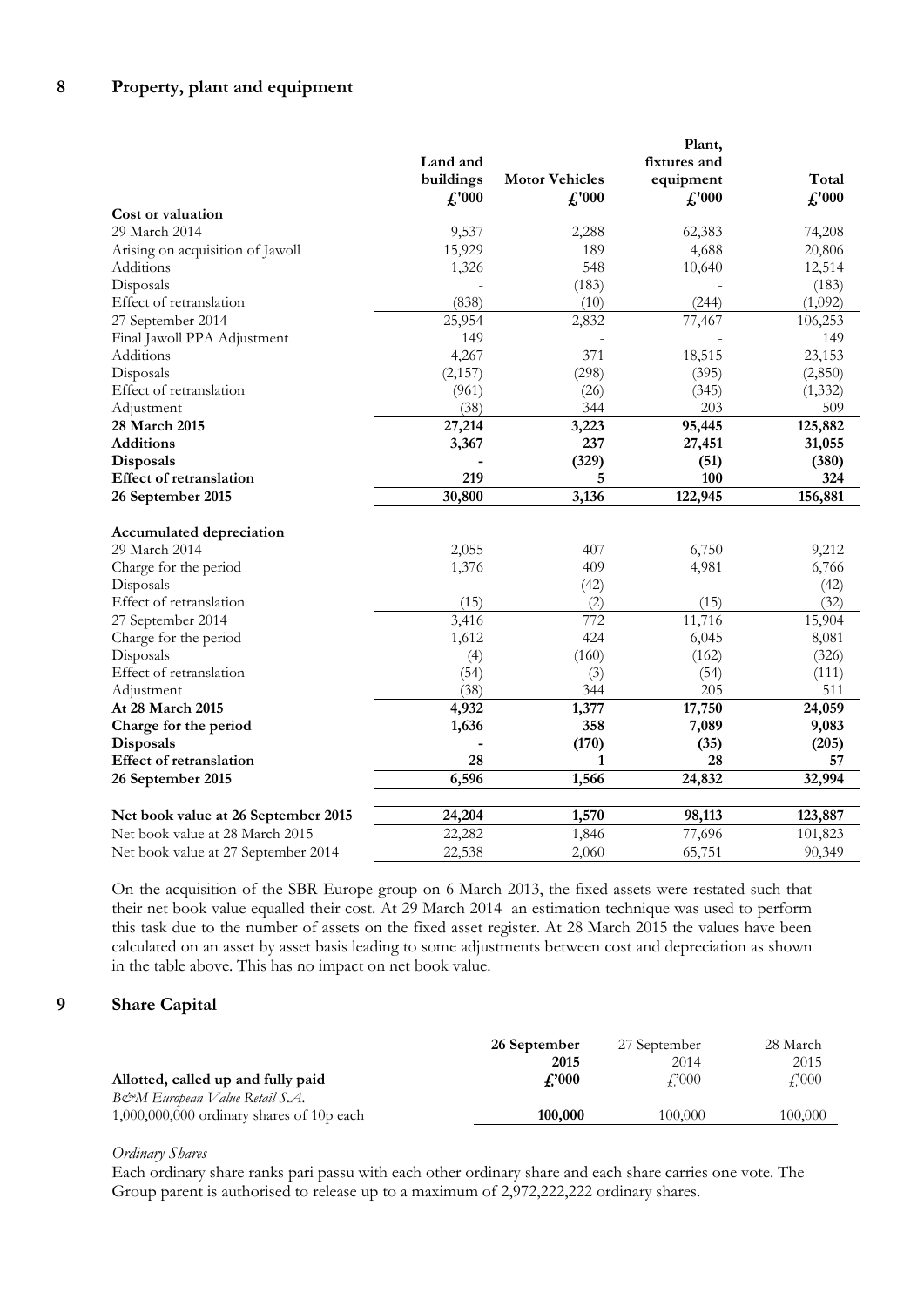|                                     |                |                       | Plant,         |                |
|-------------------------------------|----------------|-----------------------|----------------|----------------|
|                                     | Land and       |                       | fixtures and   |                |
|                                     | buildings      | <b>Motor Vehicles</b> | equipment      | Total          |
|                                     | $\pounds$ '000 | $\pounds$ '000        | $\pounds$ '000 | $\pounds$ '000 |
| Cost or valuation                   |                |                       |                |                |
| 29 March 2014                       | 9,537          | 2,288                 | 62,383         | 74,208         |
| Arising on acquisition of Jawoll    | 15,929         | 189                   | 4,688          | 20,806         |
| Additions                           | 1,326          | 548                   | 10,640         | 12,514         |
| Disposals                           |                | (183)                 |                | (183)          |
| Effect of retranslation             | (838)          | (10)                  | (244)          | (1,092)        |
| 27 September 2014                   | 25,954         | 2,832                 | 77,467         | 106,253        |
| Final Jawoll PPA Adjustment         | 149            |                       |                | 149            |
| Additions                           | 4,267          | 371                   | 18,515         | 23,153         |
| Disposals                           | (2,157)        | (298)                 | (395)          | (2,850)        |
| Effect of retranslation             | (961)          | (26)                  | (345)          | (1, 332)       |
| Adjustment                          | (38)           | 344                   | 203            | 509            |
| 28 March 2015                       | 27,214         | 3,223                 | 95,445         | 125,882        |
| <b>Additions</b>                    | 3,367          | 237                   | 27,451         | 31,055         |
| Disposals                           |                | (329)                 | (51)           | (380)          |
| <b>Effect of retranslation</b>      | 219            | 5                     | 100            | 324            |
| 26 September 2015                   | 30,800         | 3,136                 | 122,945        | 156,881        |
| <b>Accumulated depreciation</b>     |                |                       |                |                |
| 29 March 2014                       | 2,055          | 407                   | 6,750          | 9,212          |
| Charge for the period               | 1,376          | 409                   | 4,981          | 6,766          |
| Disposals                           |                | (42)                  |                | (42)           |
| Effect of retranslation             | (15)           | (2)                   | (15)           | (32)           |
| 27 September 2014                   | 3,416          | 772                   | 11,716         | 15,904         |
| Charge for the period               | 1,612          | 424                   | 6,045          | 8,081          |
| Disposals                           | (4)            | (160)                 | (162)          | (326)          |
| Effect of retranslation             | (54)           | (3)                   | (54)           | (111)          |
| Adjustment                          | (38)           | 344                   | 205            | 511            |
| At 28 March 2015                    | 4,932          | 1,377                 | 17,750         | 24,059         |
| Charge for the period               | 1,636          | 358                   | 7,089          | 9,083          |
| Disposals                           |                | (170)                 | (35)           | (205)          |
| Effect of retranslation             | 28             | 1                     | 28             | 57             |
| 26 September 2015                   | 6,596          | 1,566                 | 24,832         | 32,994         |
| Net book value at 26 September 2015 | 24,204         | 1,570                 | 98,113         | 123,887        |
| Net book value at 28 March 2015     | 22,282         | 1,846                 | 77,696         | 101,823        |
| Net book value at 27 September 2014 | 22,538         | 2,060                 | 65,751         | 90,349         |
|                                     |                |                       |                |                |

On the acquisition of the SBR Europe group on 6 March 2013, the fixed assets were restated such that their net book value equalled their cost. At 29 March 2014 an estimation technique was used to perform this task due to the number of assets on the fixed asset register. At 28 March 2015 the values have been calculated on an asset by asset basis leading to some adjustments between cost and depreciation as shown in the table above. This has no impact on net book value.

#### **9 Share Capital**

|                                             | 26 September       | 27 September | 28 March |
|---------------------------------------------|--------------------|--------------|----------|
|                                             | 2015               | 2014         | 2015     |
| Allotted, called up and fully paid          | $\mathcal{L}$ '000 | £'000        | £'000    |
| B&M European Value Retail S.A.              |                    |              |          |
| $1,000,000,000$ ordinary shares of 10p each | 100,000            | 100,000      | 100.000  |
|                                             |                    |              |          |

#### *Ordinary Shares*

Each ordinary share ranks pari passu with each other ordinary share and each share carries one vote. The Group parent is authorised to release up to a maximum of 2,972,222,222 ordinary shares.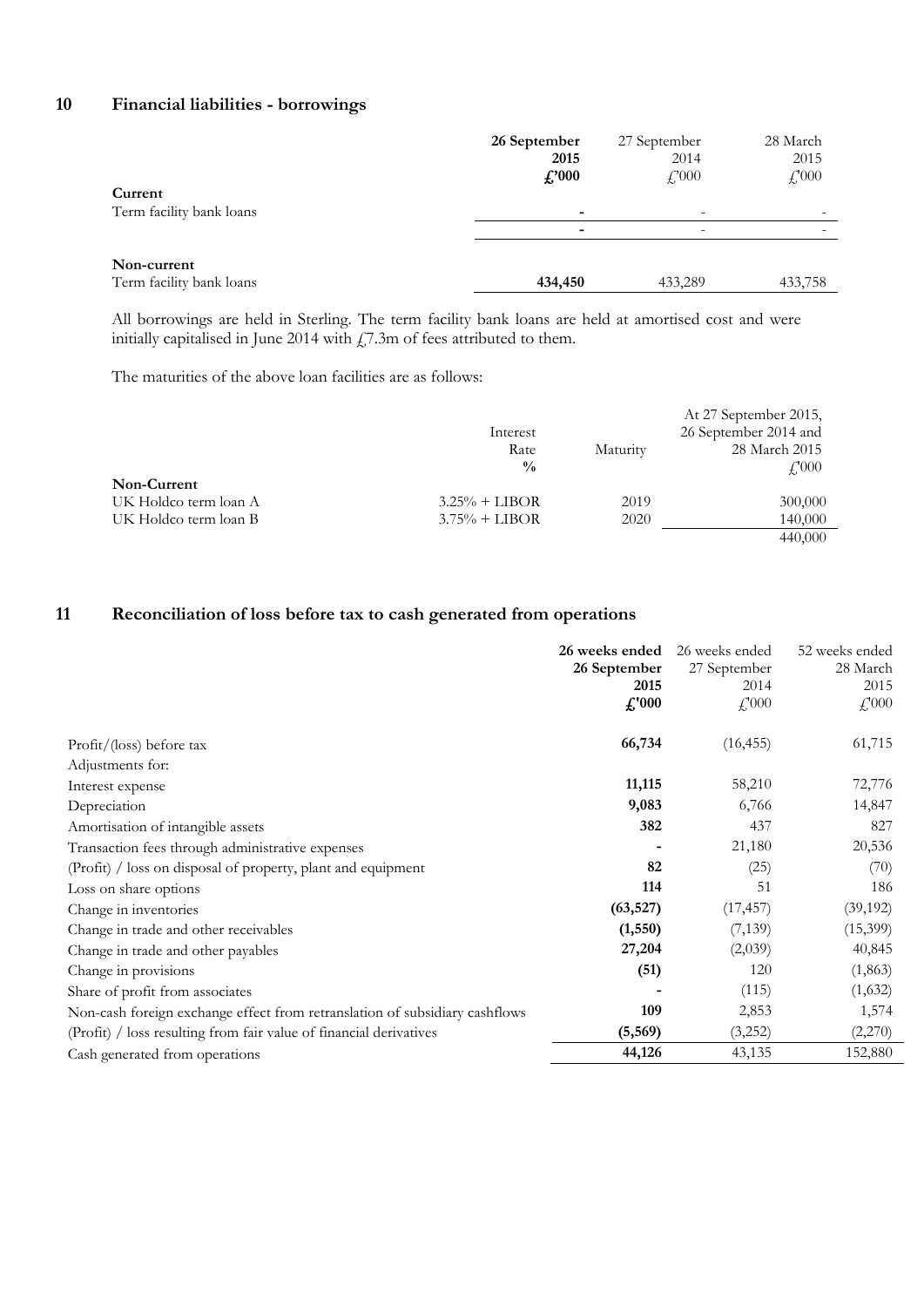#### **10 Financial liabilities - borrowings**

| ۰<br>Non-current | Current<br>Term facility bank loans | 26 September<br>2015<br>$\pounds 000$<br>٠ | 27 September<br>2014<br>$f{,}000$<br>- | 28 March<br>2015<br>$f'_{000}$ |
|------------------|-------------------------------------|--------------------------------------------|----------------------------------------|--------------------------------|
|                  | Term facility bank loans            | 434,450                                    | 433,289                                | 433,758                        |

All borrowings are held in Sterling. The term facility bank loans are held at amortised cost and were initially capitalised in June 2014 with  $\chi$ 7.3m of fees attributed to them.

The maturities of the above loan facilities are as follows:

|                       |                  |          | At 27 September 2015, |
|-----------------------|------------------|----------|-----------------------|
|                       | Interest         |          | 26 September 2014 and |
|                       | Rate             | Maturity | 28 March 2015         |
|                       | $\frac{0}{0}$    |          | $\angle 000$          |
| Non-Current           |                  |          |                       |
| UK Holdco term loan A | $3.25\% + LIBOR$ | 2019     | 300,000               |
| UK Holdco term loan B | $3.75\% + LIBOR$ | 2020     | 140,000               |
|                       |                  |          | 440,000               |

#### **11 Reconciliation of loss before tax to cash generated from operations**

|                                                                             | 26 weeks ended | 26 weeks ended                 | 52 weeks ended          |
|-----------------------------------------------------------------------------|----------------|--------------------------------|-------------------------|
|                                                                             | 26 September   | 27 September                   | 28 March                |
|                                                                             | 2015           | 2014                           | 2015                    |
|                                                                             | $\pounds$ '000 | $\mathcal{L}$ <sup>1</sup> 000 | $\textcolor{red}{f000}$ |
| Profit/(loss) before tax                                                    | 66,734         | (16, 455)                      | 61,715                  |
| Adjustments for:                                                            |                |                                |                         |
| Interest expense                                                            | 11,115         | 58,210                         | 72,776                  |
| Depreciation                                                                | 9,083          | 6,766                          | 14,847                  |
| Amortisation of intangible assets                                           | 382            | 437                            | 827                     |
| Transaction fees through administrative expenses                            |                | 21,180                         | 20,536                  |
| (Profit) / loss on disposal of property, plant and equipment                | 82             | (25)                           | (70)                    |
| Loss on share options                                                       | 114            | 51                             | 186                     |
| Change in inventories                                                       | (63, 527)      | (17, 457)                      | (39, 192)               |
| Change in trade and other receivables                                       | (1, 550)       | (7,139)                        | (15,399)                |
| Change in trade and other payables                                          | 27,204         | (2,039)                        | 40,845                  |
| Change in provisions                                                        | (51)           | 120                            | (1,863)                 |
| Share of profit from associates                                             |                | (115)                          | (1,632)                 |
| Non-cash foreign exchange effect from retranslation of subsidiary cashflows | 109            | 2,853                          | 1,574                   |
| (Profit) / loss resulting from fair value of financial derivatives          | (5, 569)       | (3,252)                        | (2,270)                 |
| Cash generated from operations                                              | 44,126         | 43,135                         | 152,880                 |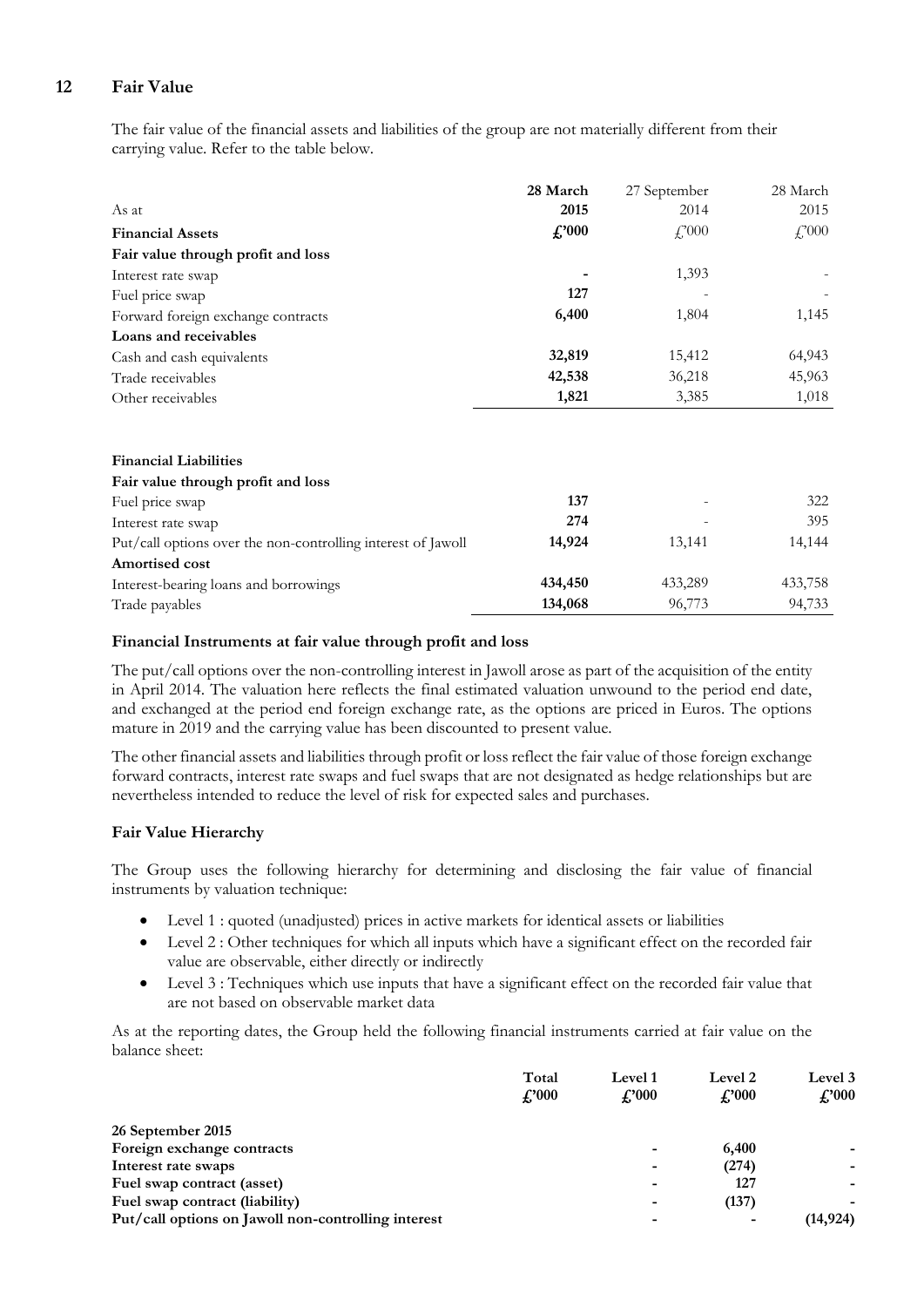#### **12 Fair Value**

The fair value of the financial assets and liabilities of the group are not materially different from their carrying value. Refer to the table below.

|                                                              | 28 March | 27 September   | 28 March       |
|--------------------------------------------------------------|----------|----------------|----------------|
| As at                                                        | 2015     | 2014           | 2015           |
| <b>Financial Assets</b>                                      | f.'000   | $f_{1}^{2000}$ | $f_{1}^{2000}$ |
| Fair value through profit and loss                           |          |                |                |
| Interest rate swap                                           |          | 1,393          |                |
| Fuel price swap                                              | 127      |                |                |
| Forward foreign exchange contracts                           | 6,400    | 1,804          | 1,145          |
| Loans and receivables                                        |          |                |                |
| Cash and cash equivalents                                    | 32,819   | 15,412         | 64,943         |
| Trade receivables                                            | 42,538   | 36,218         | 45,963         |
| Other receivables                                            | 1,821    | 3,385          | 1,018          |
|                                                              |          |                |                |
| <b>Financial Liabilities</b>                                 |          |                |                |
| Fair value through profit and loss                           |          |                |                |
| Fuel price swap                                              | 137      |                | 322            |
| Interest rate swap                                           | 274      |                | 395            |
| Put/call options over the non-controlling interest of Jawoll | 14,924   | 13,141         | 14,144         |
| Amortised cost                                               |          |                |                |
| Interest-bearing loans and borrowings                        | 434,450  | 433,289        | 433,758        |
| Trade payables                                               | 134,068  | 96,773         | 94,733         |

#### **Financial Instruments at fair value through profit and loss**

The put/call options over the non-controlling interest in Jawoll arose as part of the acquisition of the entity in April 2014. The valuation here reflects the final estimated valuation unwound to the period end date, and exchanged at the period end foreign exchange rate, as the options are priced in Euros. The options mature in 2019 and the carrying value has been discounted to present value.

The other financial assets and liabilities through profit or loss reflect the fair value of those foreign exchange forward contracts, interest rate swaps and fuel swaps that are not designated as hedge relationships but are nevertheless intended to reduce the level of risk for expected sales and purchases.

#### **Fair Value Hierarchy**

The Group uses the following hierarchy for determining and disclosing the fair value of financial instruments by valuation technique:

- Level 1 : quoted (unadjusted) prices in active markets for identical assets or liabilities
- Level 2 : Other techniques for which all inputs which have a significant effect on the recorded fair value are observable, either directly or indirectly
- Level 3 : Techniques which use inputs that have a significant effect on the recorded fair value that are not based on observable market data

As at the reporting dates, the Group held the following financial instruments carried at fair value on the balance sheet:

|                                                     | Total       | Level 1       | Level 2                  | Level 3<br>$\pounds 000$ |
|-----------------------------------------------------|-------------|---------------|--------------------------|--------------------------|
|                                                     | $f''_{000}$ | $\pounds 000$ | $\pounds 000$            |                          |
| 26 September 2015                                   |             |               |                          |                          |
| Foreign exchange contracts                          |             | ۰             | 6,400                    |                          |
| Interest rate swaps                                 |             | ۰             | (274)                    | -                        |
| Fuel swap contract (asset)                          |             | ۰             | 127                      | -                        |
| Fuel swap contract (liability)                      |             | ۰             | (137)                    | ۰                        |
| Put/call options on Jawoll non-controlling interest |             | -             | $\overline{\phantom{a}}$ | (14, 924)                |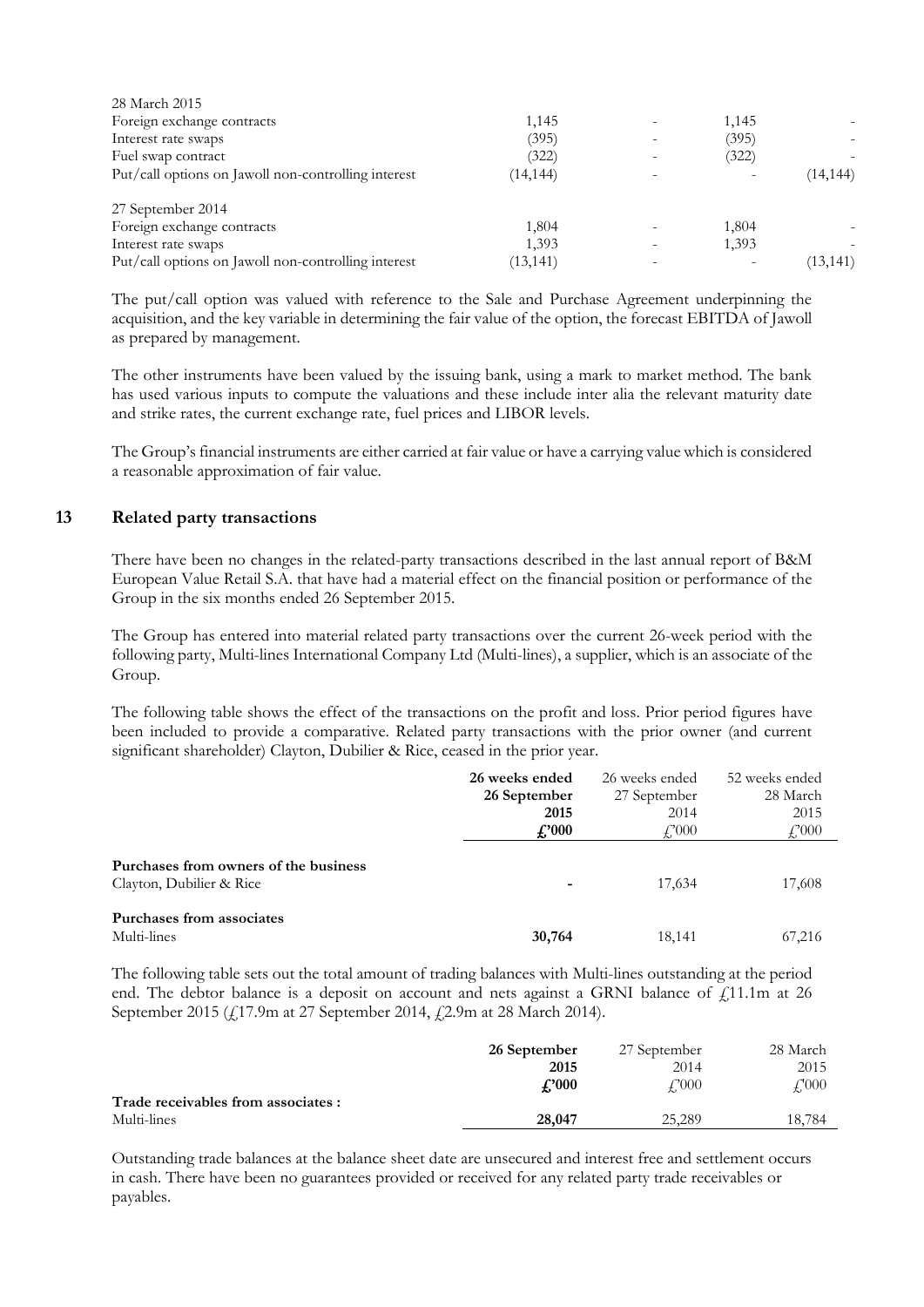| 28 March 2015                                       |           |                          |       |           |
|-----------------------------------------------------|-----------|--------------------------|-------|-----------|
| Foreign exchange contracts                          | 1,145     | $\overline{\phantom{a}}$ | 1,145 |           |
| Interest rate swaps                                 | (395)     |                          | (395) |           |
| Fuel swap contract                                  | (322)     | ۰                        | (322) |           |
| Put/call options on Jawoll non-controlling interest | (14, 144) |                          |       | (14, 144) |
| 27 September 2014                                   |           |                          |       |           |
| Foreign exchange contracts                          | 1,804     |                          | 1,804 |           |
| Interest rate swaps                                 | 1,393     | $\overline{\phantom{a}}$ | 1,393 |           |
| Put/call options on Jawoll non-controlling interest | (13, 141) |                          |       | (13, 141) |

The put/call option was valued with reference to the Sale and Purchase Agreement underpinning the acquisition, and the key variable in determining the fair value of the option, the forecast EBITDA of Jawoll as prepared by management.

The other instruments have been valued by the issuing bank, using a mark to market method. The bank has used various inputs to compute the valuations and these include inter alia the relevant maturity date and strike rates, the current exchange rate, fuel prices and LIBOR levels.

The Group's financial instruments are either carried at fair value or have a carrying value which is considered a reasonable approximation of fair value.

#### **13 Related party transactions**

There have been no changes in the related-party transactions described in the last annual report of B&M European Value Retail S.A. that have had a material effect on the financial position or performance of the Group in the six months ended 26 September 2015.

The Group has entered into material related party transactions over the current 26-week period with the following party, Multi-lines International Company Ltd (Multi-lines), a supplier, which is an associate of the Group.

The following table shows the effect of the transactions on the profit and loss. Prior period figures have been included to provide a comparative. Related party transactions with the prior owner (and current significant shareholder) Clayton, Dubilier & Rice, ceased in the prior year.

|                                                                   | 26 weeks ended<br>26 September<br>2015<br>$\pounds 000$ | 26 weeks ended<br>27 September<br>2014<br>$f_{1}^{2000}$ | 52 weeks ended<br>28 March<br>2015<br>f,000 |
|-------------------------------------------------------------------|---------------------------------------------------------|----------------------------------------------------------|---------------------------------------------|
| Purchases from owners of the business<br>Clayton, Dubilier & Rice | ٠                                                       | 17,634                                                   | 17,608                                      |
| Purchases from associates<br>Multi-lines                          | 30,764                                                  | 18,141                                                   | 67,216                                      |

The following table sets out the total amount of trading balances with Multi-lines outstanding at the period end. The debtor balance is a deposit on account and nets against a GRNI balance of  $\tilde{f}$ 11.1m at 26 September 2015 (£17.9m at 27 September 2014, £2.9m at 28 March 2014).

|                                     | 26 September | 27 September         | 28 March           |
|-------------------------------------|--------------|----------------------|--------------------|
|                                     | 2015         | 2014                 | 2015               |
|                                     | f.'000       | $\mathcal{L}^{2000}$ | $\mathcal{L}^2000$ |
| Trade receivables from associates : |              |                      |                    |
| Multi-lines                         | 28,047       | 25,289               | 18,784             |
|                                     |              |                      |                    |

Outstanding trade balances at the balance sheet date are unsecured and interest free and settlement occurs in cash. There have been no guarantees provided or received for any related party trade receivables or payables.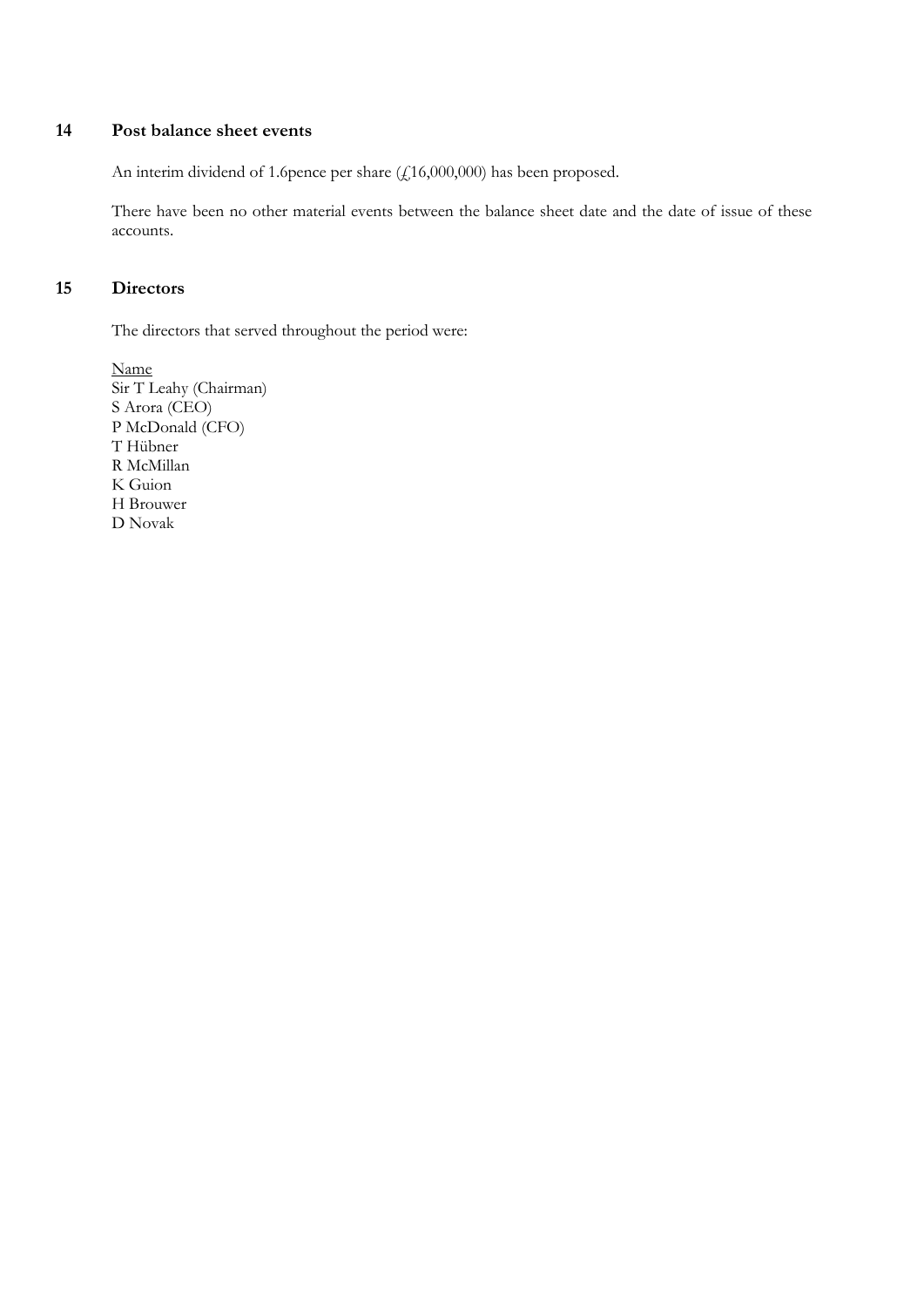#### **14 Post balance sheet events**

An interim dividend of 1.6pence per share (£16,000,000) has been proposed.

There have been no other material events between the balance sheet date and the date of issue of these accounts.

#### **15 Directors**

The directors that served throughout the period were:

Name Sir T Leahy (Chairman) S Arora (CEO) P McDonald (CFO) T Hübner R McMillan K Guion H Brouwer D Novak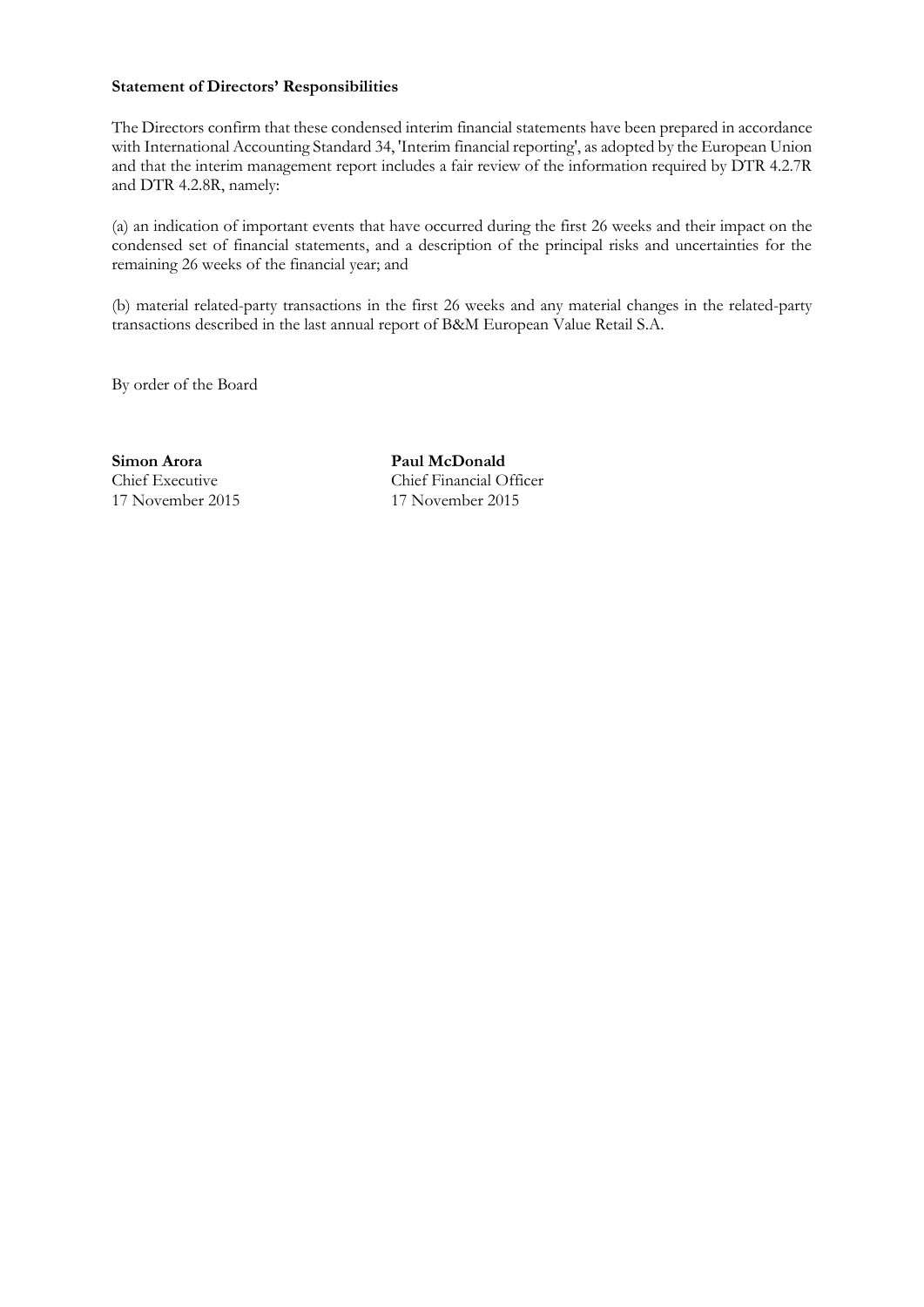#### **Statement of Directors' Responsibilities**

The Directors confirm that these condensed interim financial statements have been prepared in accordance with International Accounting Standard 34, 'Interim financial reporting', as adopted by the European Union and that the interim management report includes a fair review of the information required by DTR 4.2.7R and DTR 4.2.8R, namely:

(a) an indication of important events that have occurred during the first 26 weeks and their impact on the condensed set of financial statements, and a description of the principal risks and uncertainties for the remaining 26 weeks of the financial year; and

(b) material related-party transactions in the first 26 weeks and any material changes in the related-party transactions described in the last annual report of B&M European Value Retail S.A.

By order of the Board

**Simon Arora Paul McDonald** 17 November 2015 17 November 2015

Chief Executive Chief Financial Officer<br>17 November 2015 17 November 2015